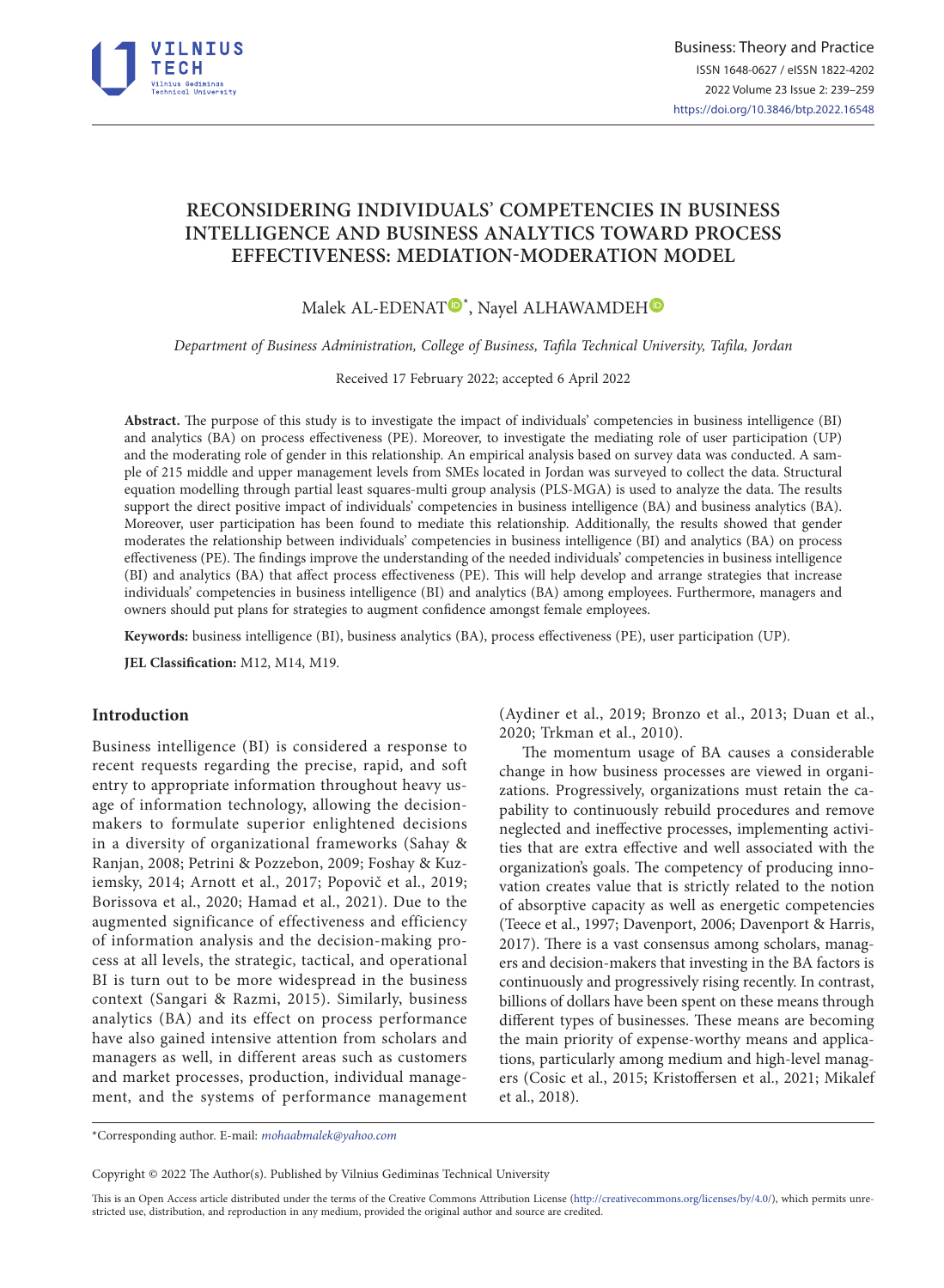

# **RECONSIDERING INDIVIDUALS**' **COMPETENCIES IN BUSINESS INTELLIGENCE AND BUSINESS ANALYTICS TOWARD PROCESS EFFECTIVENESS: MEDIATION-MODERATION MODEL**

Malek AL-EDENA[T](https://orcid.org/0000-0002-3820-8160)<sup>®\*</sup>, Nayel ALHAWAMDEH

*Department of Business Administration, College of Business, Tafila Technical University, Tafila, Jordan*

Received 17 February 2022; accepted 6 April 2022

**Abstract.** The purpose of this study is to investigate the impact of individuals' competencies in business intelligence (BI) and analytics (BA) on process effectiveness (PE). Moreover, to investigate the mediating role of user participation (UP) and the moderating role of gender in this relationship. An empirical analysis based on survey data was conducted. A sample of 215 middle and upper management levels from SMEs located in Jordan was surveyed to collect the data. Structural equation modelling through partial least squares-multi group analysis (PLS-MGA) is used to analyze the data. The results support the direct positive impact of individuals' competencies in business intelligence (BA) and business analytics (BA). Moreover, user participation has been found to mediate this relationship. Additionally, the results showed that gender moderates the relationship between individuals' competencies in business intelligence (BI) and analytics (BA) on process effectiveness (PE). The findings improve the understanding of the needed individuals' competencies in business intelligence (BI) and analytics (BA) that affect process effectiveness (PE). This will help develop and arrange strategies that increase individuals' competencies in business intelligence (BI) and analytics (BA) among employees. Furthermore, managers and owners should put plans for strategies to augment confidence amongst female employees.

**Keywords:** business intelligence (BI), business analytics (BA), process effectiveness (PE), user participation (UP).

**JEL Classification:** M12, M14, M19.

# **Introduction**

Business intelligence (BI) is considered a response to recent requests regarding the precise, rapid, and soft entry to appropriate information throughout heavy usage of information technology, allowing the decisionmakers to formulate superior enlightened decisions in a diversity of organizational frameworks (Sahay & Ranjan, 2008; Petrini & Pozzebon, 2009; Foshay & Kuziemsky, 2014; Arnott et al., 2017; Popovič et al., 2019; Borissova et al., 2020; Hamad et al., 2021). Due to the augmented significance of effectiveness and efficiency of information analysis and the decision-making process at all levels, the strategic, tactical, and operational BI is turn out to be more widespread in the business context (Sangari & Razmi, 2015). Similarly, business analytics (BA) and its effect on process performance have also gained intensive attention from scholars and managers as well, in different areas such as customers and market processes, production, individual management, and the systems of performance management (Aydiner et al., 2019; Bronzo et al., 2013; Duan et al., 2020; Trkman et al., 2010).

The momentum usage of BA causes a considerable change in how business processes are viewed in organizations. Progressively, organizations must retain the capability to continuously rebuild procedures and remove neglected and ineffective processes, implementing activities that are extra effective and well associated with the organization's goals. The competency of producing innovation creates value that is strictly related to the notion of absorptive capacity as well as energetic competencies (Teece et al., 1997; Davenport, 2006; Davenport & Harris, 2017). There is a vast consensus among scholars, managers and decision-makers that investing in the BA factors is continuously and progressively rising recently. In contrast, billions of dollars have been spent on these means through different types of businesses. These means are becoming the main priority of expense-worthy means and applications, particularly among medium and high-level managers (Cosic et al., 2015; Kristoffersen et al., 2021; Mikalef et al., 2018).

\*Corresponding author. E-mail: *[mohaabmalek@yahoo.com](mailto:mohaabmalek@yahoo.com)*

Copyright © 2022 The Author(s). Published by Vilnius Gediminas Technical University

This is an Open Access article distributed under the terms of the Creative Commons Attribution License (<http://creativecommons.org/licenses/by/4.0/>), which permits unrestricted use, distribution, and reproduction in any medium, provided the original author and source are credited.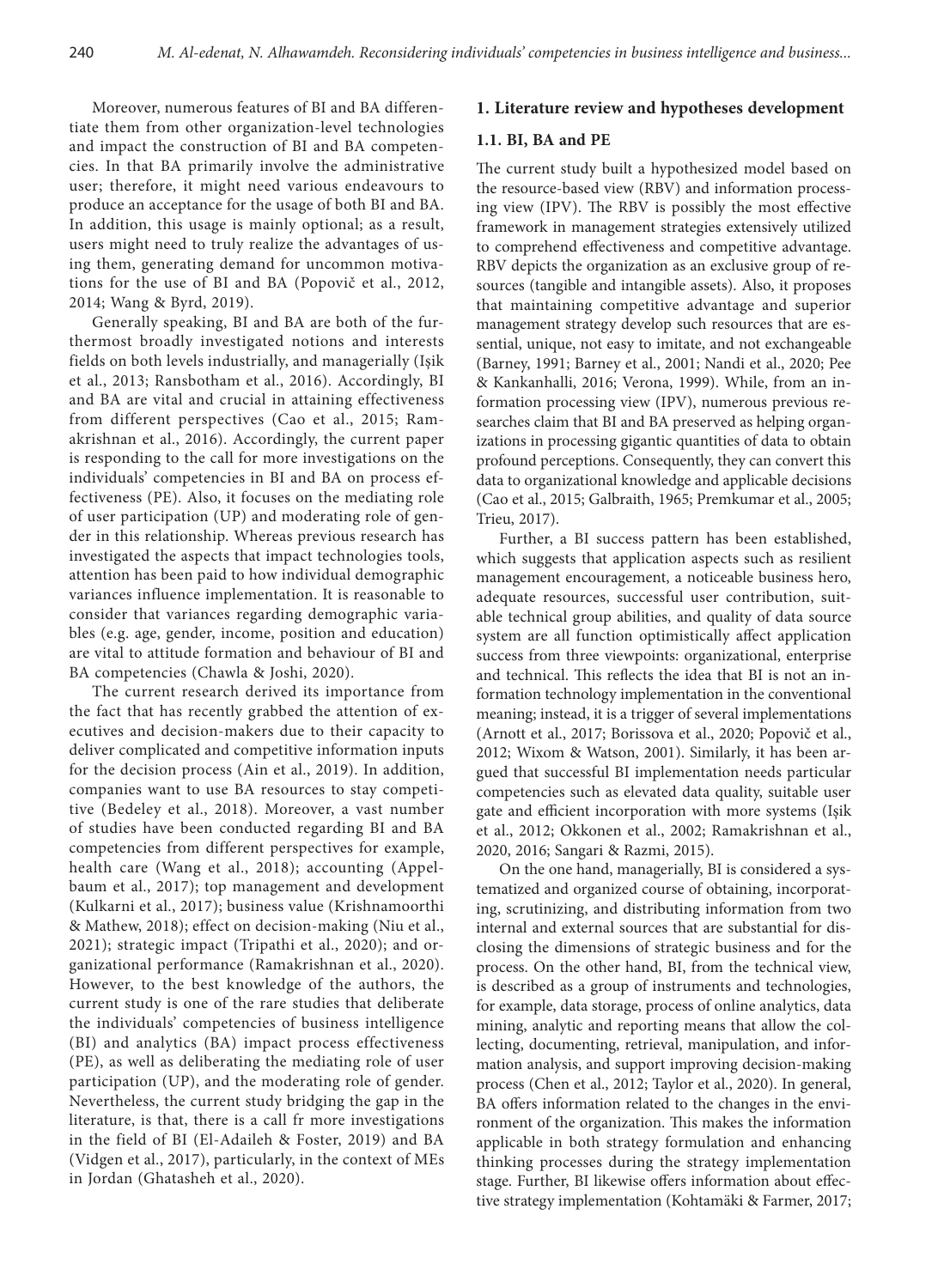Moreover, numerous features of BI and BA differentiate them from other organization-level technologies and impact the construction of BI and BA competencies. In that BA primarily involve the administrative user; therefore, it might need various endeavours to produce an acceptance for the usage of both BI and BA. In addition, this usage is mainly optional; as a result, users might need to truly realize the advantages of using them, generating demand for uncommon motivations for the use of BI and BA (Popovič et al., 2012, 2014; Wang & Byrd, 2019).

Generally speaking, BI and BA are both of the furthermost broadly investigated notions and interests fields on both levels industrially, and managerially (Işik et al., 2013; Ransbotham et al., 2016). Accordingly, BI and BA are vital and crucial in attaining effectiveness from different perspectives (Cao et al., 2015; Ramakrishnan et al., 2016). Accordingly, the current paper is responding to the call for more investigations on the individuals' competencies in BI and BA on process effectiveness (PE). Also, it focuses on the mediating role of user participation (UP) and moderating role of gender in this relationship. Whereas previous research has investigated the aspects that impact technologies tools, attention has been paid to how individual demographic variances influence implementation. It is reasonable to consider that variances regarding demographic variables (e.g. age, gender, income, position and education) are vital to attitude formation and behaviour of BI and BA competencies (Chawla & Joshi, 2020).

The current research derived its importance from the fact that has recently grabbed the attention of executives and decision-makers due to their capacity to deliver complicated and competitive information inputs for the decision process (Ain et al., 2019). In addition, companies want to use BA resources to stay competitive (Bedeley et al., 2018). Moreover, a vast number of studies have been conducted regarding BI and BA competencies from different perspectives for example, health care (Wang et al., 2018); accounting (Appelbaum et al., 2017); top management and development (Kulkarni et al., 2017); business value (Krishnamoorthi & Mathew, 2018); effect on decision-making (Niu et al., 2021); strategic impact (Tripathi et al., 2020); and organizational performance (Ramakrishnan et al., 2020). However, to the best knowledge of the authors, the current study is one of the rare studies that deliberate the individuals' competencies of business intelligence (BI) and analytics (BA) impact process effectiveness (PE), as well as deliberating the mediating role of user participation (UP), and the moderating role of gender. Nevertheless, the current study bridging the gap in the literature, is that, there is a call fr more investigations in the field of BI (El-Adaileh & Foster, 2019) and BA (Vidgen et al., 2017), particularly, in the context of MEs in Jordan (Ghatasheh et al., 2020).

# **1. Literature review and hypotheses development**

### **1.1. BI, BA and PE**

The current study built a hypothesized model based on the resource-based view (RBV) and information processing view (IPV). The RBV is possibly the most effective framework in management strategies extensively utilized to comprehend effectiveness and competitive advantage. RBV depicts the organization as an exclusive group of resources (tangible and intangible assets). Also, it proposes that maintaining competitive advantage and superior management strategy develop such resources that are essential, unique, not easy to imitate, and not exchangeable (Barney, 1991; Barney et al., 2001; Nandi et al., 2020; Pee & Kankanhalli, 2016; Verona, 1999). While, from an information processing view (IPV), numerous previous researches claim that BI and BA preserved as helping organizations in processing gigantic quantities of data to obtain profound perceptions. Consequently, they can convert this data to organizational knowledge and applicable decisions (Cao et al., 2015; Galbraith, 1965; Premkumar et al., 2005; Trieu, 2017).

Further, a BI success pattern has been established, which suggests that application aspects such as resilient management encouragement, a noticeable business hero, adequate resources, successful user contribution, suitable technical group abilities, and quality of data source system are all function optimistically affect application success from three viewpoints: organizational, enterprise and technical. This reflects the idea that BI is not an information technology implementation in the conventional meaning; instead, it is a trigger of several implementations (Arnott et al., 2017; Borissova et al., 2020; Popovič et al., 2012; Wixom & Watson, 2001). Similarly, it has been argued that successful BI implementation needs particular competencies such as elevated data quality, suitable user gate and efficient incorporation with more systems (Işik et al., 2012; Okkonen et al., 2002; Ramakrishnan et al., 2020, 2016; Sangari & Razmi, 2015).

On the one hand, managerially, BI is considered a systematized and organized course of obtaining, incorporating, scrutinizing, and distributing information from two internal and external sources that are substantial for disclosing the dimensions of strategic business and for the process. On the other hand, BI, from the technical view, is described as a group of instruments and technologies, for example, data storage, process of online analytics, data mining, analytic and reporting means that allow the collecting, documenting, retrieval, manipulation, and information analysis, and support improving decision-making process (Chen et al., 2012; Taylor et al., 2020). In general, BA offers information related to the changes in the environment of the organization. This makes the information applicable in both strategy formulation and enhancing thinking processes during the strategy implementation stage. Further, BI likewise offers information about effective strategy implementation (Kohtamäki & Farmer, 2017;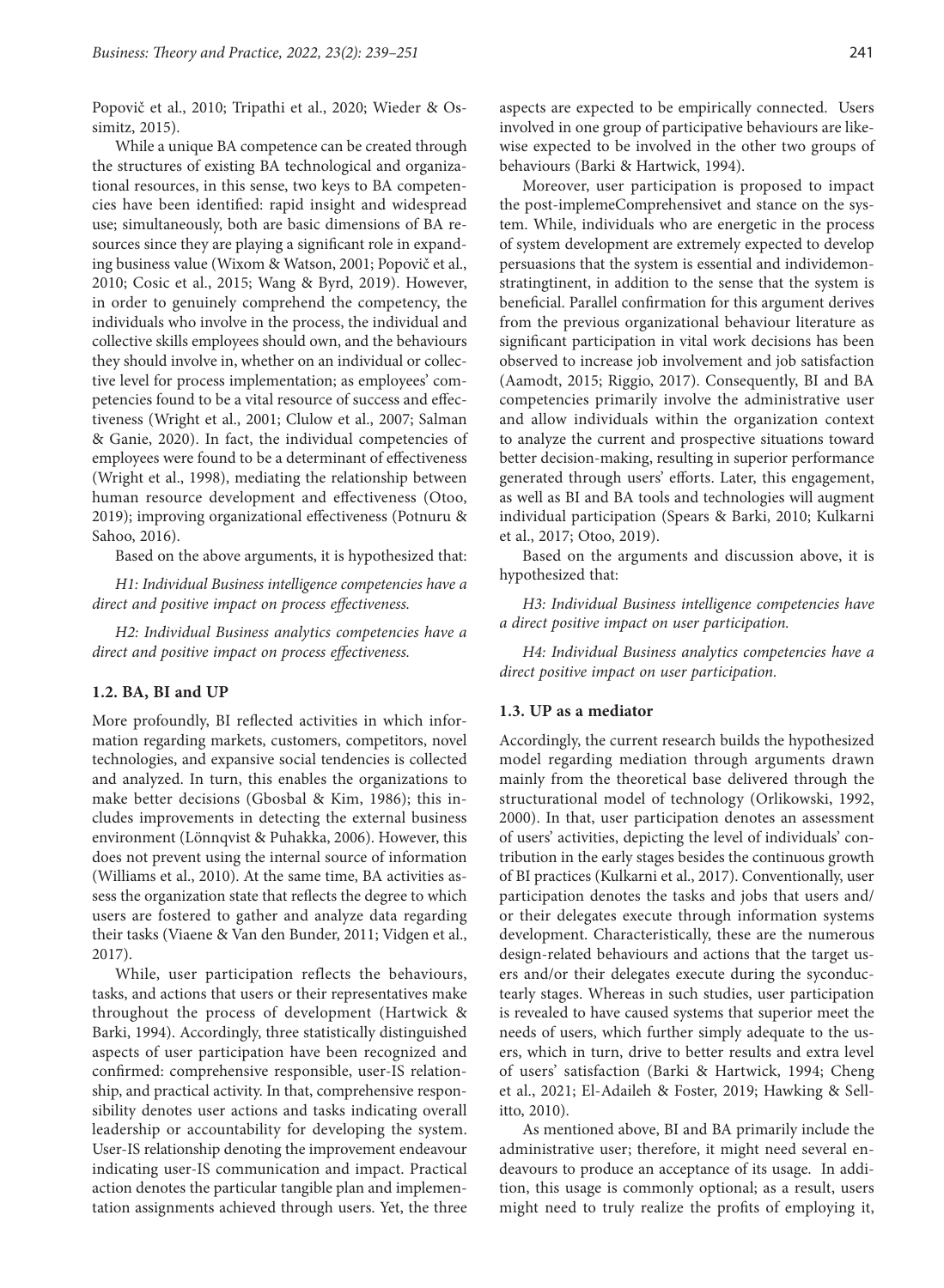Popovič et al., 2010; Tripathi et al., 2020; Wieder & Ossimitz, 2015).

While a unique BA competence can be created through the structures of existing BA technological and organizational resources, in this sense, two keys to BA competencies have been identified: rapid insight and widespread use; simultaneously, both are basic dimensions of BA resources since they are playing a significant role in expanding business value (Wixom & Watson, 2001; Popovič et al., 2010; Cosic et al., 2015; Wang & Byrd, 2019). However, in order to genuinely comprehend the competency, the individuals who involve in the process, the individual and collective skills employees should own, and the behaviours they should involve in, whether on an individual or collective level for process implementation; as employees' competencies found to be a vital resource of success and effectiveness (Wright et al., 2001; Clulow et al., 2007; Salman & Ganie, 2020). In fact, the individual competencies of employees were found to be a determinant of effectiveness (Wright et al., 1998), mediating the relationship between human resource development and effectiveness (Otoo, 2019); improving organizational effectiveness (Potnuru & Sahoo, 2016).

Based on the above arguments, it is hypothesized that:

*H1: Individual Business intelligence competencies have a direct and positive impact on process effectiveness.*

*H2: Individual Business analytics competencies have a direct and positive impact on process effectiveness.*

## **1.2. BA, BI and UP**

More profoundly, BI reflected activities in which information regarding markets, customers, competitors, novel technologies, and expansive social tendencies is collected and analyzed. In turn, this enables the organizations to make better decisions (Gbosbal & Kim, 1986); this includes improvements in detecting the external business environment (Lönnqvist & Puhakka, 2006). However, this does not prevent using the internal source of information (Williams et al., 2010). At the same time, BA activities assess the organization state that reflects the degree to which users are fostered to gather and analyze data regarding their tasks (Viaene & Van den Bunder, 2011; Vidgen et al., 2017).

While, user participation reflects the behaviours, tasks, and actions that users or their representatives make throughout the process of development (Hartwick & Barki, 1994). Accordingly, three statistically distinguished aspects of user participation have been recognized and confirmed: comprehensive responsible, user-IS relationship, and practical activity. In that, comprehensive responsibility denotes user actions and tasks indicating overall leadership or accountability for developing the system. User-IS relationship denoting the improvement endeavour indicating user-IS communication and impact. Practical action denotes the particular tangible plan and implementation assignments achieved through users. Yet, the three aspects are expected to be empirically connected. Users involved in one group of participative behaviours are likewise expected to be involved in the other two groups of behaviours (Barki & Hartwick, 1994).

Moreover, user participation is proposed to impact the post-implemeComprehensivet and stance on the system. While, individuals who are energetic in the process of system development are extremely expected to develop persuasions that the system is essential and individemonstratingtinent, in addition to the sense that the system is beneficial. Parallel confirmation for this argument derives from the previous organizational behaviour literature as significant participation in vital work decisions has been observed to increase job involvement and job satisfaction (Aamodt, 2015; Riggio, 2017). Consequently, BI and BA competencies primarily involve the administrative user and allow individuals within the organization context to analyze the current and prospective situations toward better decision-making, resulting in superior performance generated through users' efforts. Later, this engagement, as well as BI and BA tools and technologies will augment individual participation (Spears & Barki, 2010; Kulkarni et al., 2017; Otoo, 2019).

Based on the arguments and discussion above, it is hypothesized that:

*H3: Individual Business intelligence competencies have a direct positive impact on user participation.*

*H4: Individual Business analytics competencies have a direct positive impact on user participation.*

#### **1.3. UP as a mediator**

Accordingly, the current research builds the hypothesized model regarding mediation through arguments drawn mainly from the theoretical base delivered through the structurational model of technology (Orlikowski, 1992, 2000). In that, user participation denotes an assessment of users' activities, depicting the level of individuals' contribution in the early stages besides the continuous growth of BI practices (Kulkarni et al., 2017). Conventionally, user participation denotes the tasks and jobs that users and/ or their delegates execute through information systems development. Characteristically, these are the numerous design-related behaviours and actions that the target users and/or their delegates execute during the syconductearly stages. Whereas in such studies, user participation is revealed to have caused systems that superior meet the needs of users, which further simply adequate to the users, which in turn, drive to better results and extra level of users' satisfaction (Barki & Hartwick, 1994; Cheng et al., 2021; El-Adaileh & Foster, 2019; Hawking & Sellitto, 2010).

As mentioned above, BI and BA primarily include the administrative user; therefore, it might need several endeavours to produce an acceptance of its usage. In addition, this usage is commonly optional; as a result, users might need to truly realize the profits of employing it,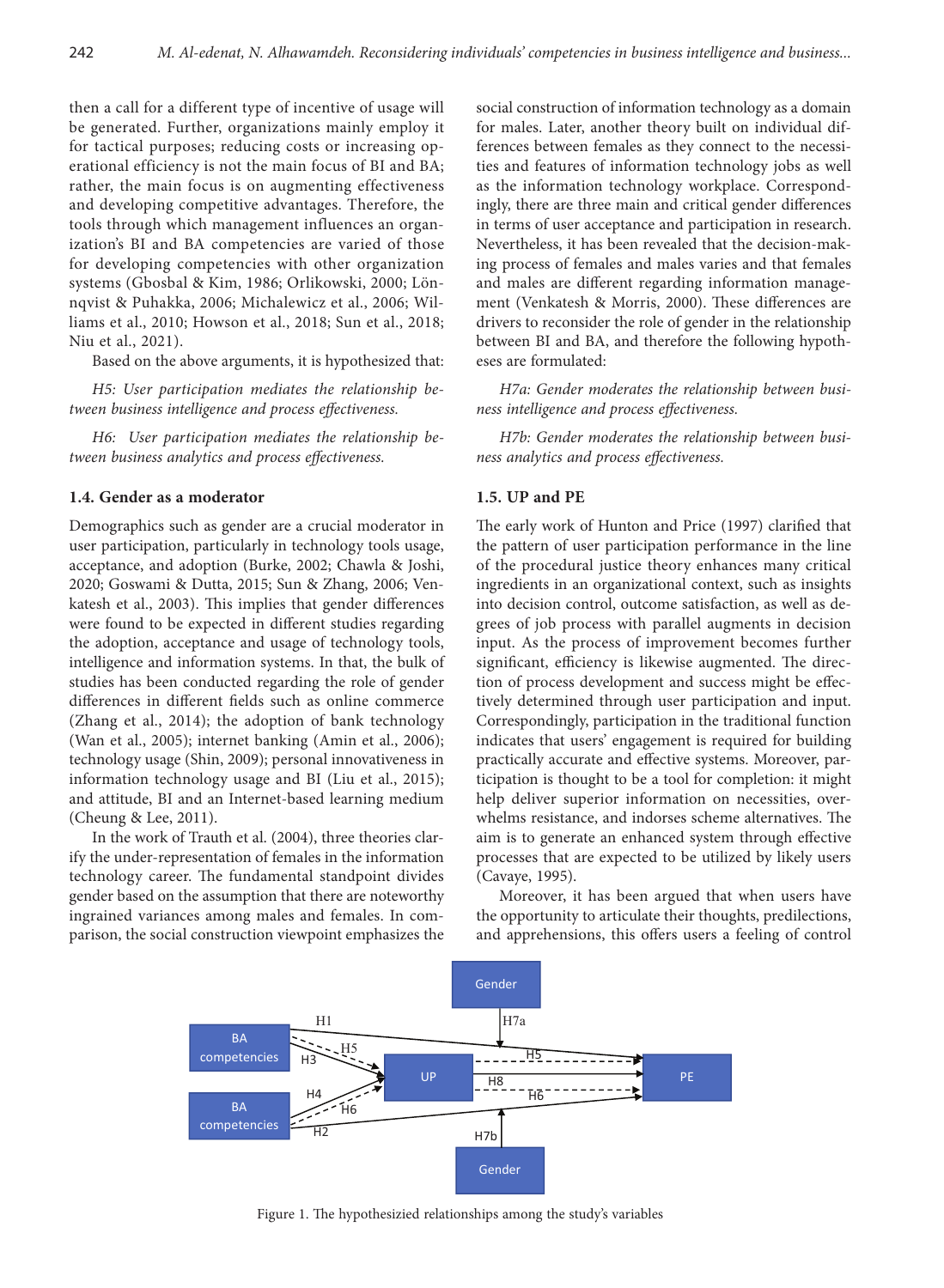then a call for a different type of incentive of usage will be generated. Further, organizations mainly employ it for tactical purposes; reducing costs or increasing operational efficiency is not the main focus of BI and BA; rather, the main focus is on augmenting effectiveness and developing competitive advantages. Therefore, the tools through which management influences an organization's BI and BA competencies are varied of those for developing competencies with other organization systems (Gbosbal & Kim, 1986; Orlikowski, 2000; Lönnqvist & Puhakka, 2006; Michalewicz et al., 2006; Williams et al., 2010; Howson et al., 2018; Sun et al., 2018; Niu et al., 2021).

Based on the above arguments, it is hypothesized that:

*H5: User participation mediates the relationship between business intelligence and process effectiveness.*

*H6: User participation mediates the relationship between business analytics and process effectiveness.*

## **1.4. Gender as a moderator**

Demographics such as gender are a crucial moderator in user participation, particularly in technology tools usage, acceptance, and adoption (Burke, 2002; Chawla & Joshi, 2020; Goswami & Dutta, 2015; Sun & Zhang, 2006; Venkatesh et al., 2003). This implies that gender differences were found to be expected in different studies regarding the adoption, acceptance and usage of technology tools, intelligence and information systems. In that, the bulk of studies has been conducted regarding the role of gender differences in different fields such as online commerce (Zhang et al., 2014); the adoption of bank technology (Wan et al., 2005); internet banking (Amin et al., 2006); technology usage (Shin, 2009); personal innovativeness in information technology usage and BI (Liu et al., 2015); and attitude, BI and an Internet-based learning medium (Cheung & Lee, 2011).

In the work of Trauth et al. (2004), three theories clarify the under-representation of females in the information technology career. The fundamental standpoint divides gender based on the assumption that there are noteworthy ingrained variances among males and females. In comparison, the social construction viewpoint emphasizes the

social construction of information technology as a domain for males. Later, another theory built on individual differences between females as they connect to the necessities and features of information technology jobs as well as the information technology workplace. Correspondingly, there are three main and critical gender differences in terms of user acceptance and participation in research. Nevertheless, it has been revealed that the decision-making process of females and males varies and that females and males are different regarding information management (Venkatesh & Morris, 2000). These differences are drivers to reconsider the role of gender in the relationship between BI and BA, and therefore the following hypotheses are formulated:

*H7a: Gender moderates the relationship between business intelligence and process effectiveness.*

*H7b: Gender moderates the relationship between business analytics and process effectiveness.*

# **1.5. UP and PE**

The early work of Hunton and Price (1997) clarified that the pattern of user participation performance in the line of the procedural justice theory enhances many critical ingredients in an organizational context, such as insights into decision control, outcome satisfaction, as well as degrees of job process with parallel augments in decision input. As the process of improvement becomes further significant, efficiency is likewise augmented. The direction of process development and success might be effectively determined through user participation and input. Correspondingly, participation in the traditional function indicates that users' engagement is required for building practically accurate and effective systems. Moreover, participation is thought to be a tool for completion: it might help deliver superior information on necessities, overwhelms resistance, and indorses scheme alternatives. The aim is to generate an enhanced system through effective processes that are expected to be utilized by likely users (Cavaye, 1995).

Moreover, it has been argued that when users have the opportunity to articulate their thoughts, predilections, and apprehensions, this offers users a feeling of control



Figure 1. The hypothesizied relationships among the study's variables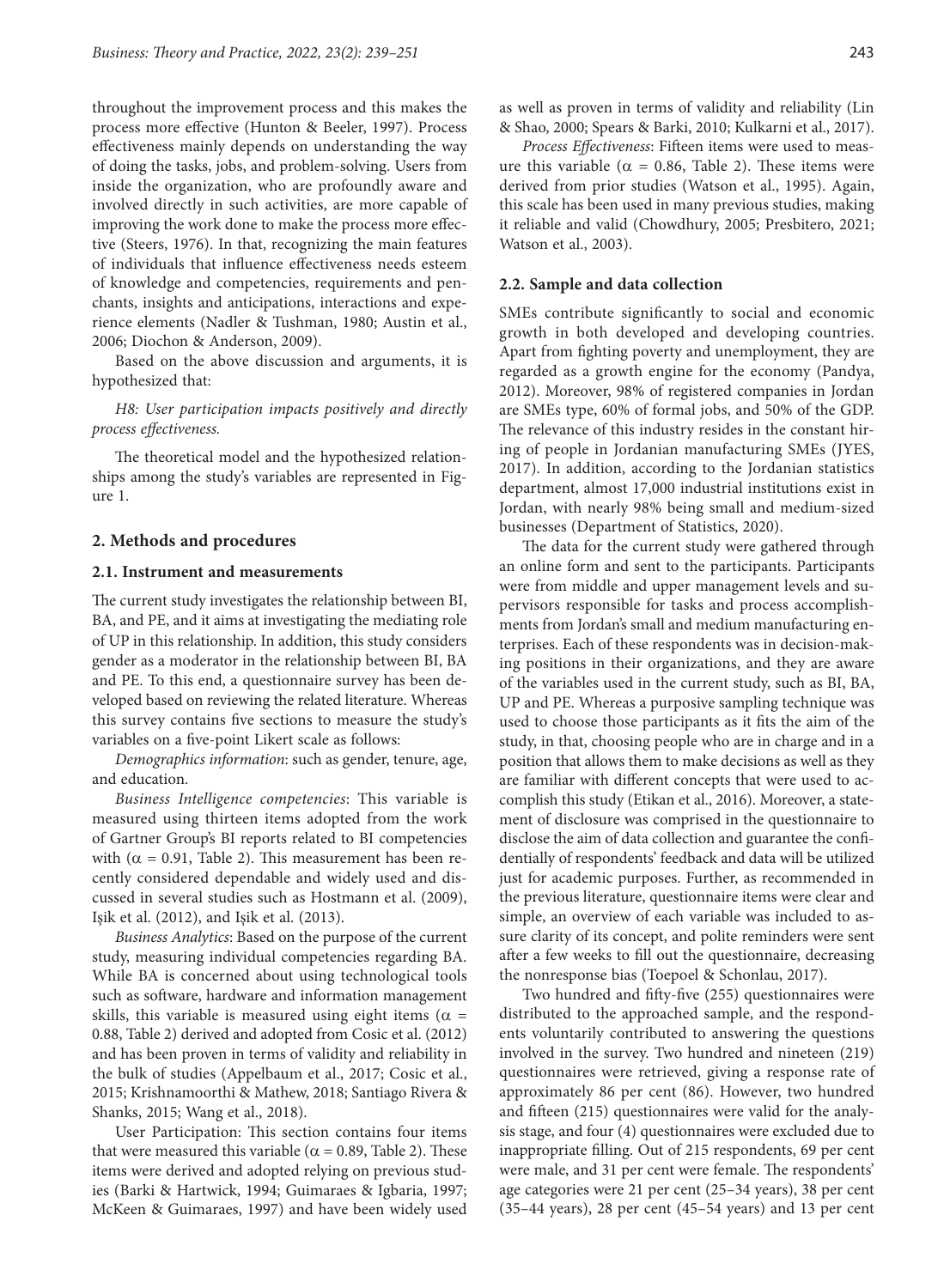throughout the improvement process and this makes the process more effective (Hunton & Beeler, 1997). Process effectiveness mainly depends on understanding the way of doing the tasks, jobs, and problem-solving. Users from inside the organization, who are profoundly aware and involved directly in such activities, are more capable of improving the work done to make the process more effective (Steers, 1976). In that, recognizing the main features of individuals that influence effectiveness needs esteem of knowledge and competencies, requirements and penchants, insights and anticipations, interactions and experience elements (Nadler & Tushman, 1980; Austin et al., 2006; Diochon & Anderson, 2009).

Based on the above discussion and arguments, it is hypothesized that:

*H8: User participation impacts positively and directly process effectiveness.*

The theoretical model and the hypothesized relationships among the study's variables are represented in Figure 1.

## **2. Methods and procedures**

## **2.1. Instrument and measurements**

The current study investigates the relationship between BI, BA, and PE, and it aims at investigating the mediating role of UP in this relationship. In addition, this study considers gender as a moderator in the relationship between BI, BA and PE. To this end, a questionnaire survey has been developed based on reviewing the related literature. Whereas this survey contains five sections to measure the study's variables on a five-point Likert scale as follows:

*Demographics information*: such as gender, tenure, age, and education.

*Business Intelligence competencies*: This variable is measured using thirteen items adopted from the work of Gartner Group's BI reports related to BI competencies with ( $\alpha$  = 0.91, Table 2). This measurement has been recently considered dependable and widely used and discussed in several studies such as Hostmann et al. (2009), Işik et al. (2012), and Işik et al. (2013).

*Business Analytics*: Based on the purpose of the current study, measuring individual competencies regarding BA. While BA is concerned about using technological tools such as software, hardware and information management skills, this variable is measured using eight items ( $\alpha$  = 0.88, Table 2) derived and adopted from Cosic et al. (2012) and has been proven in terms of validity and reliability in the bulk of studies (Appelbaum et al., 2017; Cosic et al., 2015; Krishnamoorthi & Mathew, 2018; Santiago Rivera & Shanks, 2015; Wang et al., 2018).

User Participation: This section contains four items that were measured this variable ( $\alpha$  = 0.89, Table 2). These items were derived and adopted relying on previous studies (Barki & Hartwick, 1994; Guimaraes & Igbaria, 1997; McKeen & Guimaraes, 1997) and have been widely used

as well as proven in terms of validity and reliability (Lin & Shao, 2000; Spears & Barki, 2010; Kulkarni et al., 2017).

*Process Effectiveness*: Fifteen items were used to measure this variable ( $α = 0.86$ , Table 2). These items were derived from prior studies (Watson et al., 1995). Again, this scale has been used in many previous studies, making it reliable and valid (Chowdhury, 2005; Presbitero, 2021; Watson et al., 2003).

## **2.2. Sample and data collection**

SMEs contribute significantly to social and economic growth in both developed and developing countries. Apart from fighting poverty and unemployment, they are regarded as a growth engine for the economy (Pandya, 2012). Moreover, 98% of registered companies in Jordan are SMEs type, 60% of formal jobs, and 50% of the GDP. The relevance of this industry resides in the constant hiring of people in Jordanian manufacturing SMEs (JYES, 2017). In addition, according to the Jordanian statistics department, almost 17,000 industrial institutions exist in Jordan, with nearly 98% being small and medium-sized businesses (Department of Statistics, 2020).

The data for the current study were gathered through an online form and sent to the participants. Participants were from middle and upper management levels and supervisors responsible for tasks and process accomplishments from Jordan's small and medium manufacturing enterprises. Each of these respondents was in decision-making positions in their organizations, and they are aware of the variables used in the current study, such as BI, BA, UP and PE. Whereas a purposive sampling technique was used to choose those participants as it fits the aim of the study, in that, choosing people who are in charge and in a position that allows them to make decisions as well as they are familiar with different concepts that were used to accomplish this study (Etikan et al., 2016). Moreover, a statement of disclosure was comprised in the questionnaire to disclose the aim of data collection and guarantee the confidentially of respondents' feedback and data will be utilized just for academic purposes. Further, as recommended in the previous literature, questionnaire items were clear and simple, an overview of each variable was included to assure clarity of its concept, and polite reminders were sent after a few weeks to fill out the questionnaire, decreasing the nonresponse bias (Toepoel & Schonlau, 2017).

Two hundred and fifty-five (255) questionnaires were distributed to the approached sample, and the respondents voluntarily contributed to answering the questions involved in the survey. Two hundred and nineteen (219) questionnaires were retrieved, giving a response rate of approximately 86 per cent (86). However, two hundred and fifteen (215) questionnaires were valid for the analysis stage, and four (4) questionnaires were excluded due to inappropriate filling. Out of 215 respondents, 69 per cent were male, and 31 per cent were female. The respondents' age categories were 21 per cent (25–34 years), 38 per cent (35–44 years), 28 per cent (45–54 years) and 13 per cent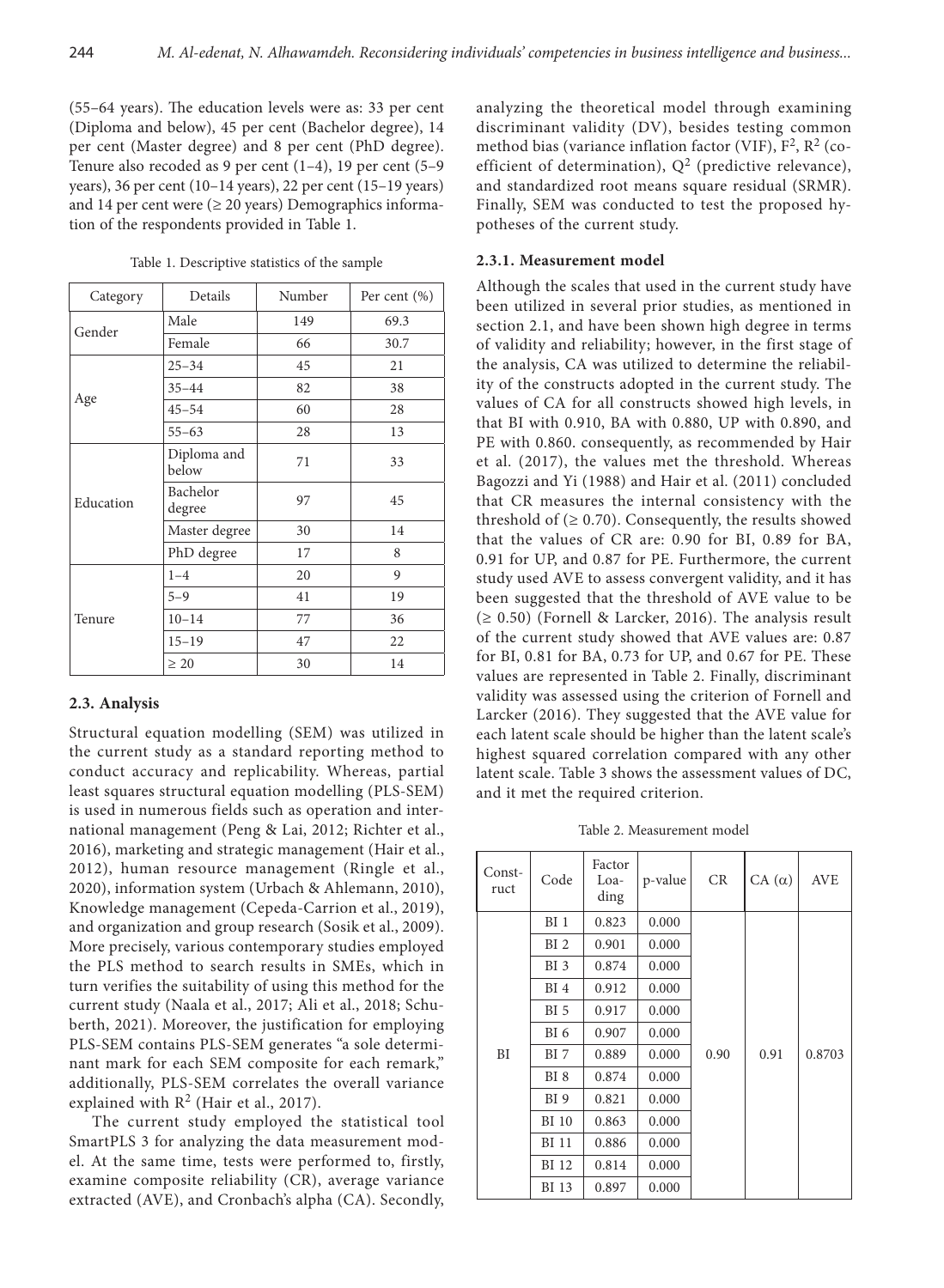(55–64 years). The education levels were as: 33 per cent (Diploma and below), 45 per cent (Bachelor degree), 14 per cent (Master degree) and 8 per cent (PhD degree). Tenure also recoded as 9 per cent (1–4), 19 per cent (5–9 years), 36 per cent (10–14 years), 22 per cent (15–19 years) and 14 per cent were  $(≥ 20$  years) Demographics information of the respondents provided in Table 1.

| Category  | Details              | Number | Per cent $(\% )$ |  |
|-----------|----------------------|--------|------------------|--|
| Gender    | Male                 | 149    | 69.3             |  |
|           | Female               | 66     | 30.7             |  |
|           | $25 - 34$            | 45     | 21               |  |
|           | $35 - 44$            | 82     | 38               |  |
| Age       | $45 - 54$            | 60     | 28               |  |
|           | $55 - 63$            | 28     | 13               |  |
| Education | Diploma and<br>below | 71     | 33               |  |
|           | Bachelor<br>degree   | 97     | 45               |  |
|           | Master degree        | 30     | 14               |  |
|           | PhD degree           | 17     | 8                |  |
| Tenure    | $1 - 4$              | 20     | 9                |  |
|           | $5 - 9$              | 41     | 19               |  |
|           | $10 - 14$            | 77     | 36               |  |
|           | $15 - 19$            | 47     | 22               |  |
|           | $\geq 20$            | 30     | 14               |  |

Table 1. Descriptive statistics of the sample

# **2.3. Analysis**

Structural equation modelling (SEM) was utilized in the current study as a standard reporting method to conduct accuracy and replicability. Whereas, partial least squares structural equation modelling (PLS-SEM) is used in numerous fields such as operation and international management (Peng & Lai, 2012; Richter et al., 2016), marketing and strategic management (Hair et al., 2012), human resource management (Ringle et al., 2020), information system (Urbach & Ahlemann, 2010), Knowledge management (Cepeda-Carrion et al., 2019), and organization and group research (Sosik et al., 2009). More precisely, various contemporary studies employed the PLS method to search results in SMEs, which in turn verifies the suitability of using this method for the current study (Naala et al., 2017; Ali et al., 2018; Schuberth, 2021). Moreover, the justification for employing PLS-SEM contains PLS-SEM generates "a sole determinant mark for each SEM composite for each remark," additionally, PLS-SEM correlates the overall variance explained with  $R^2$  (Hair et al., 2017).

The current study employed the statistical tool SmartPLS 3 for analyzing the data measurement model. At the same time, tests were performed to, firstly, examine composite reliability (CR), average variance extracted (AVE), and Cronbach's alpha (CA). Secondly,

analyzing the theoretical model through examining discriminant validity (DV), besides testing common method bias (variance inflation factor (VIF),  $F^2$ ,  $R^2$  (coefficient of determination),  $Q^2$  (predictive relevance), and standardized root means square residual (SRMR). Finally, SEM was conducted to test the proposed hypotheses of the current study.

## **2.3.1. Measurement model**

Although the scales that used in the current study have been utilized in several prior studies, as mentioned in section 2.1, and have been shown high degree in terms of validity and reliability; however, in the first stage of the analysis, CA was utilized to determine the reliability of the constructs adopted in the current study. The values of CA for all constructs showed high levels, in that BI with 0.910, BA with 0.880, UP with 0.890, and PE with 0.860. consequently, as recommended by Hair et al. (2017), the values met the threshold. Whereas Bagozzi and Yi (1988) and Hair et al. (2011) concluded that CR measures the internal consistency with the threshold of  $(≥ 0.70)$ . Consequently, the results showed that the values of CR are: 0.90 for BI, 0.89 for BA, 0.91 for UP, and 0.87 for PE. Furthermore, the current study used AVE to assess convergent validity, and it has been suggested that the threshold of AVE value to be  $(≥ 0.50)$  (Fornell & Larcker, 2016). The analysis result of the current study showed that AVE values are: 0.87 for BI, 0.81 for BA, 0.73 for UP, and 0.67 for PE. These values are represented in Table 2. Finally, discriminant validity was assessed using the criterion of Fornell and Larcker (2016). They suggested that the AVE value for each latent scale should be higher than the latent scale's highest squared correlation compared with any other latent scale. Table 3 shows the assessment values of DC, and it met the required criterion.

Table 2. Measurement model

| Const-<br>ruct | Code            | Factor<br>Loa-<br>ding | p-value | CR   | $CA(\alpha)$ | <b>AVE</b> |
|----------------|-----------------|------------------------|---------|------|--------------|------------|
|                | BI <sub>1</sub> | 0.823                  | 0.000   |      |              |            |
|                | BI <sub>2</sub> | 0.901                  | 0.000   |      |              |            |
|                | BI <sub>3</sub> | 0.874                  | 0.000   |      |              |            |
| <b>BI</b>      | BI <sub>4</sub> | 0.912                  | 0.000   |      |              |            |
|                | BI <sub>5</sub> | 0.917                  | 0.000   |      |              |            |
|                | BI <sub>6</sub> | 0.907                  | 0.000   |      |              |            |
|                | BI <sub>7</sub> | 0.889                  | 0.000   | 0.90 | 0.91         |            |
|                | BI <sub>8</sub> | 0.874                  | 0.000   |      |              |            |
|                | BI <sub>9</sub> | 0.821                  | 0.000   |      |              |            |
|                | <b>BI</b> 10    | 0.863                  | 0.000   |      |              |            |
|                | BI 11           | 0.886                  | 0.000   |      |              |            |
|                | <b>BI</b> 12    | 0.814                  | 0.000   |      |              |            |
|                | BI 13           | 0.897                  | 0.000   |      |              |            |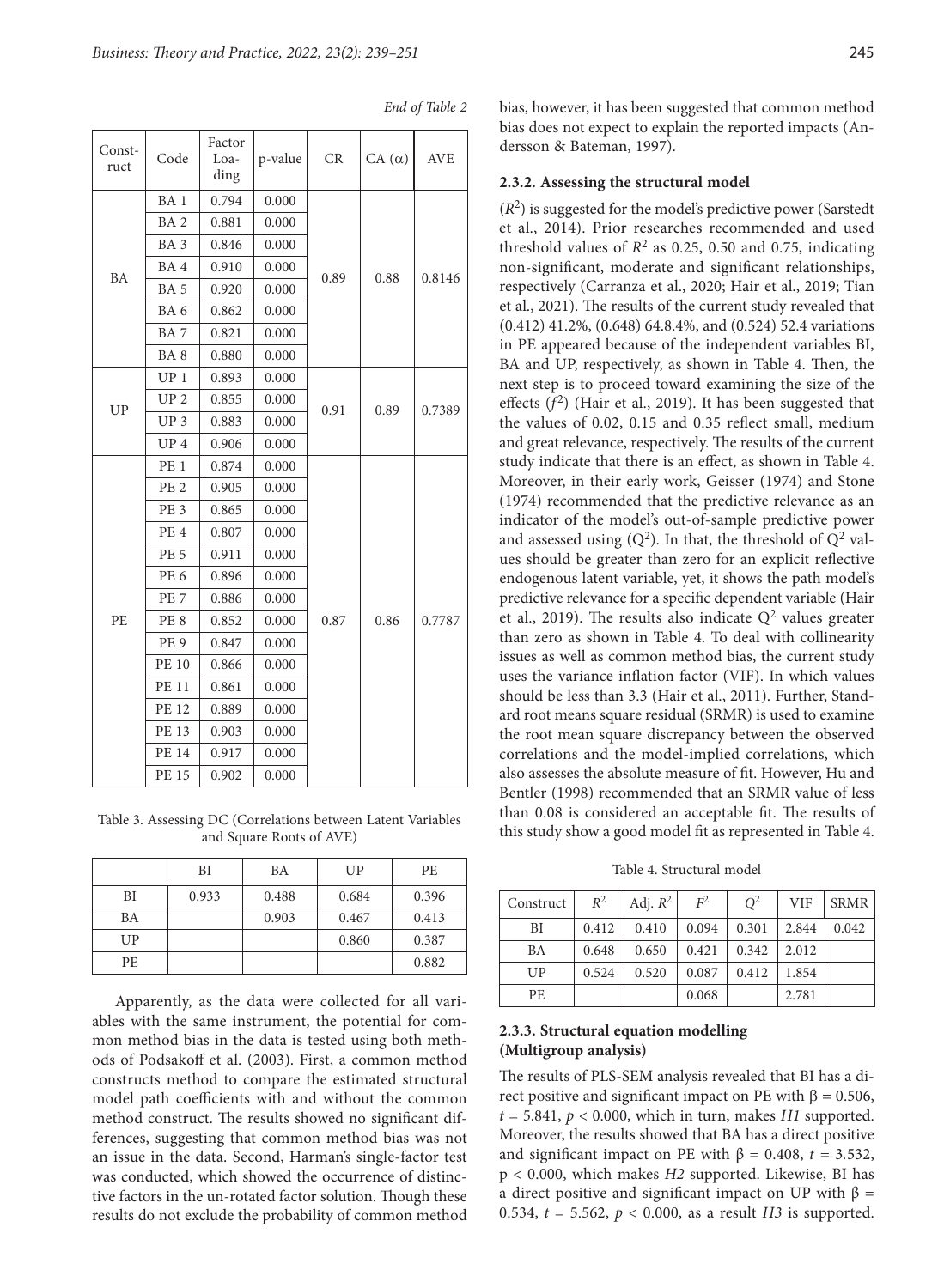| Const-<br>ruct | Code            | Factor<br>Loa-<br>ding | p-value | CR   | $CA(\alpha)$ | <b>AVE</b> |
|----------------|-----------------|------------------------|---------|------|--------------|------------|
|                | BA <sub>1</sub> | 0.794                  | 0.000   |      |              | 0.8146     |
|                | BA <sub>2</sub> | 0.881                  | 0.000   | 0.89 |              |            |
|                | BA <sub>3</sub> | 0.846                  | 0.000   |      |              |            |
|                | BA4             | 0.910                  | 0.000   |      |              |            |
| <b>BA</b>      | BA <sub>5</sub> | 0.920                  | 0.000   |      | 0.88         |            |
|                | BA <sub>6</sub> | 0.862                  | 0.000   |      |              |            |
|                | BA7             | 0.821                  | 0.000   |      |              |            |
|                | BA <sub>8</sub> | 0.880                  | 0.000   |      |              |            |
|                | $UP_1$          | 0.893                  | 0.000   |      |              |            |
| UP             | UP <sub>2</sub> | 0.855                  | 0.000   | 0.91 | 0.89         | 0.7389     |
|                | UP <sub>3</sub> | 0.883                  | 0.000   |      |              |            |
|                | UP <sub>4</sub> | 0.906                  | 0.000   |      |              |            |
|                | PE <sub>1</sub> | 0.874                  | 0.000   |      | 0.86         | 0.7787     |
|                | PE <sub>2</sub> | 0.905                  | 0.000   |      |              |            |
|                | PE <sub>3</sub> | 0.865                  | 0.000   |      |              |            |
|                | PE <sub>4</sub> | 0.807                  | 0.000   |      |              |            |
|                | <b>PE 5</b>     | 0.911                  | 0.000   |      |              |            |
|                | PE <sub>6</sub> | 0.896                  | 0.000   |      |              |            |
|                | PE <sub>7</sub> | 0.886                  | 0.000   |      |              |            |
| PE             | PE <sub>8</sub> | 0.852                  | 0.000   | 0.87 |              |            |
|                | PE <sub>9</sub> | 0.847                  | 0.000   |      |              |            |
|                | <b>PE 10</b>    | 0.866                  | 0.000   |      |              |            |
|                | <b>PE 11</b>    | 0.861                  | 0.000   |      |              |            |
|                | PE 12           | 0.889                  | 0.000   |      |              |            |
|                | PE 13           | 0.903                  | 0.000   |      |              |            |
|                | PE 14           | 0.917                  | 0.000   |      |              |            |
|                | <b>PE 15</b>    | 0.902                  | 0.000   |      |              |            |

*End of Table 2*

Table 3. Assessing DC (Correlations between Latent Variables and Square Roots of AVE)

|     | BI    | BA    | UP    | PE.   |
|-----|-------|-------|-------|-------|
| BI  | 0.933 | 0.488 | 0.684 | 0.396 |
| BA  |       | 0.903 | 0.467 | 0.413 |
| UP  |       |       | 0.860 | 0.387 |
| PE. |       |       |       | 0.882 |

Apparently, as the data were collected for all variables with the same instrument, the potential for common method bias in the data is tested using both methods of Podsakoff et al. (2003). First, a common method constructs method to compare the estimated structural model path coefficients with and without the common method construct. The results showed no significant differences, suggesting that common method bias was not an issue in the data. Second, Harman's single-factor test was conducted, which showed the occurrence of distinctive factors in the un-rotated factor solution. Though these results do not exclude the probability of common method bias, however, it has been suggested that common method bias does not expect to explain the reported impacts (Andersson & Bateman, 1997).

## **2.3.2. Assessing the structural model**

 $(R<sup>2</sup>)$  is suggested for the model's predictive power (Sarstedt) et al., 2014). Prior researches recommended and used threshold values of  $R^2$  as 0.25, 0.50 and 0.75, indicating non-significant, moderate and significant relationships, respectively (Carranza et al., 2020; Hair et al., 2019; Tian et al., 2021). The results of the current study revealed that (0.412) 41.2%, (0.648) 64.8.4%, and (0.524) 52.4 variations in PE appeared because of the independent variables BI, BA and UP, respectively, as shown in Table 4. Then, the next step is to proceed toward examining the size of the effects  $(f^2)$  (Hair et al., 2019). It has been suggested that the values of 0.02, 0.15 and 0.35 reflect small, medium and great relevance, respectively. The results of the current study indicate that there is an effect, as shown in Table 4. Moreover, in their early work, Geisser (1974) and Stone (1974) recommended that the predictive relevance as an indicator of the model's out-of-sample predictive power and assessed using  $(Q^2)$ . In that, the threshold of  $Q^2$  values should be greater than zero for an explicit reflective endogenous latent variable, yet, it shows the path model's predictive relevance for a specific dependent variable (Hair et al., 2019). The results also indicate  $Q^2$  values greater than zero as shown in Table 4. To deal with collinearity issues as well as common method bias, the current study uses the variance inflation factor (VIF). In which values should be less than 3.3 (Hair et al., 2011). Further, Standard root means square residual (SRMR) is used to examine the root mean square discrepancy between the observed correlations and the model-implied correlations, which also assesses the absolute measure of fit. However, Hu and Bentler (1998) recommended that an SRMR value of less than 0.08 is considered an acceptable fit. The results of this study show a good model fit as represented in Table 4.

Table 4. Structural model

| Construct | $R^2$ | Adj. $R^2$ | F <sup>2</sup> | $Q^2$ | <b>VIF</b> | <b>SRMR</b> |
|-----------|-------|------------|----------------|-------|------------|-------------|
| BI        | 0.412 | 0.410      | 0.094          | 0.301 | 2.844      | 0.042       |
| BA        | 0.648 | 0.650      | 0.421          | 0.342 | 2.012      |             |
| UP        | 0.524 | 0.520      | 0.087          | 0.412 | 1.854      |             |
| РE        |       |            | 0.068          |       | 2.781      |             |

# **2.3.3. Structural equation modelling (Multigroup analysis)**

The results of PLS-SEM analysis revealed that BI has a direct positive and significant impact on PE with  $β = 0.506$ ,  $t = 5.841$ ,  $p < 0.000$ , which in turn, makes *H1* supported. Moreover, the results showed that BA has a direct positive and significant impact on PE with  $\beta = 0.408$ ,  $t = 3.532$ , p < 0.000, which makes *H2* supported. Likewise, BI has a direct positive and significant impact on UP with  $β =$ 0.534,  $t = 5.562$ ,  $p < 0.000$ , as a result *H3* is supported.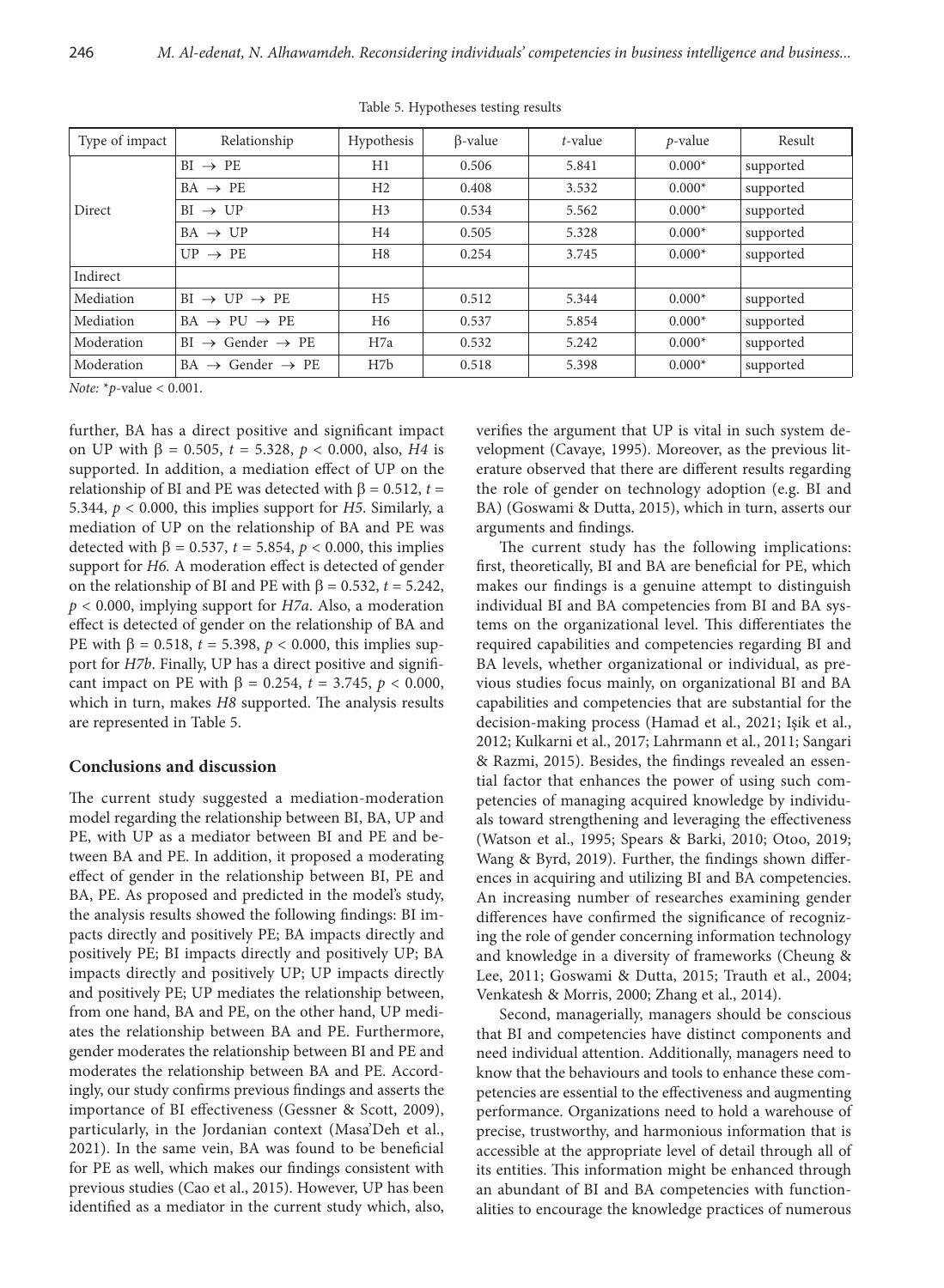| Type of impact | Relationship                                | Hypothesis       | $\beta$ -value | t-value | $p$ -value | Result    |
|----------------|---------------------------------------------|------------------|----------------|---------|------------|-----------|
| Direct         | $BI \rightarrow PE$                         | H1               | 0.506          | 5.841   | $0.000*$   | supported |
|                | $BA \rightarrow PE$                         | H <sub>2</sub>   | 0.408          | 3.532   | $0.000*$   | supported |
|                | $BI \rightarrow UP$                         | H <sub>3</sub>   | 0.534          | 5.562   | $0.000*$   | supported |
|                | $BA \rightarrow UP$                         | H <sub>4</sub>   | 0.505          | 5.328   | $0.000*$   | supported |
|                | $UP \rightarrow PE$                         | H <sub>8</sub>   | 0.254          | 3.745   | $0.000*$   | supported |
| Indirect       |                                             |                  |                |         |            |           |
| Mediation      | $BI \rightarrow UP \rightarrow PE$          | H <sub>5</sub>   | 0.512          | 5.344   | $0.000*$   | supported |
| Mediation      | $BA \rightarrow PU \rightarrow PE$          | H <sub>6</sub>   | 0.537          | 5.854   | $0.000*$   | supported |
| Moderation     | $\rightarrow$ Gender $\rightarrow$ PE<br>BI | H7a              | 0.532          | 5.242   | $0.000*$   | supported |
| Moderation     | $BA \rightarrow$ Gender $\rightarrow$ PE    | H <sub>7</sub> b | 0.518          | 5.398   | $0.000*$   | supported |

Table 5. Hypotheses testing results

*Note:* \**p*-value < 0.001.

further, BA has a direct positive and significant impact on UP with  $\beta = 0.505$ ,  $t = 5.328$ ,  $p < 0.000$ , also, *H4* is supported. In addition, a mediation effect of UP on the relationship of BI and PE was detected with  $β = 0.512$ ,  $t =$ 5.344, *p* < 0.000, this implies support for *H5*. Similarly, a mediation of UP on the relationship of BA and PE was detected with  $\beta$  = 0.537, *t* = 5.854, *p* < 0.000, this implies support for *H6.* A moderation effect is detected of gender on the relationship of BI and PE with β = 0.532, *t* = 5.242, *p* < 0.000, implying support for *H7a*. Also, a moderation effect is detected of gender on the relationship of BA and PE with  $β = 0.518$ ,  $t = 5.398$ ,  $p < 0.000$ , this implies support for *H7b*. Finally, UP has a direct positive and significant impact on PE with  $β = 0.254$ ,  $t = 3.745$ ,  $p < 0.000$ , which in turn, makes *H8* supported. The analysis results are represented in Table 5.

## **Conclusions and discussion**

The current study suggested a mediation-moderation model regarding the relationship between BI, BA, UP and PE, with UP as a mediator between BI and PE and between BA and PE. In addition, it proposed a moderating effect of gender in the relationship between BI, PE and BA, PE. As proposed and predicted in the model's study, the analysis results showed the following findings: BI impacts directly and positively PE; BA impacts directly and positively PE; BI impacts directly and positively UP; BA impacts directly and positively UP; UP impacts directly and positively PE; UP mediates the relationship between, from one hand, BA and PE, on the other hand, UP mediates the relationship between BA and PE. Furthermore, gender moderates the relationship between BI and PE and moderates the relationship between BA and PE. Accordingly, our study confirms previous findings and asserts the importance of BI effectiveness (Gessner & Scott, 2009), particularly, in the Jordanian context (Masa'Deh et al., 2021). In the same vein, BA was found to be beneficial for PE as well, which makes our findings consistent with previous studies (Cao et al., 2015). However, UP has been identified as a mediator in the current study which, also,

verifies the argument that UP is vital in such system development (Cavaye, 1995). Moreover, as the previous literature observed that there are different results regarding the role of gender on technology adoption (e.g. BI and BA) (Goswami & Dutta, 2015), which in turn, asserts our arguments and findings.

The current study has the following implications: first, theoretically, BI and BA are beneficial for PE, which makes our findings is a genuine attempt to distinguish individual BI and BA competencies from BI and BA systems on the organizational level. This differentiates the required capabilities and competencies regarding BI and BA levels, whether organizational or individual, as previous studies focus mainly, on organizational BI and BA capabilities and competencies that are substantial for the decision-making process (Hamad et al., 2021; Işik et al., 2012; Kulkarni et al., 2017; Lahrmann et al., 2011; Sangari & Razmi, 2015). Besides, the findings revealed an essential factor that enhances the power of using such competencies of managing acquired knowledge by individuals toward strengthening and leveraging the effectiveness (Watson et al., 1995; Spears & Barki, 2010; Otoo, 2019; Wang & Byrd, 2019). Further, the findings shown differences in acquiring and utilizing BI and BA competencies. An increasing number of researches examining gender differences have confirmed the significance of recognizing the role of gender concerning information technology and knowledge in a diversity of frameworks (Cheung & Lee, 2011; Goswami & Dutta, 2015; Trauth et al., 2004; Venkatesh & Morris, 2000; Zhang et al., 2014).

Second, managerially, managers should be conscious that BI and competencies have distinct components and need individual attention. Additionally, managers need to know that the behaviours and tools to enhance these competencies are essential to the effectiveness and augmenting performance. Organizations need to hold a warehouse of precise, trustworthy, and harmonious information that is accessible at the appropriate level of detail through all of its entities. This information might be enhanced through an abundant of BI and BA competencies with functionalities to encourage the knowledge practices of numerous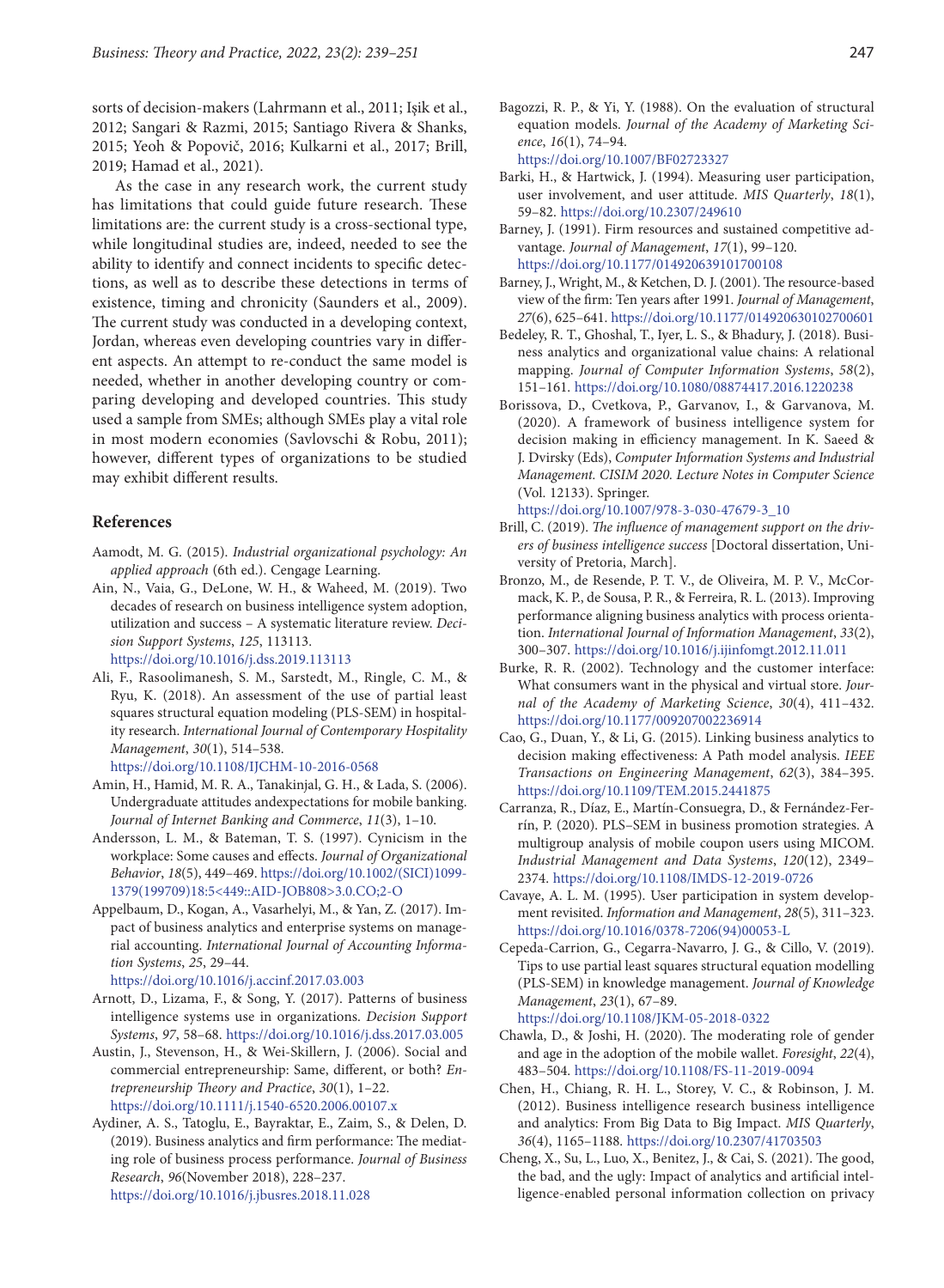sorts of decision-makers (Lahrmann et al., 2011; Işik et al., 2012; Sangari & Razmi, 2015; Santiago Rivera & Shanks, 2015; Yeoh & Popovič, 2016; Kulkarni et al., 2017; Brill, 2019; Hamad et al., 2021).

As the case in any research work, the current study has limitations that could guide future research. These limitations are: the current study is a cross-sectional type, while longitudinal studies are, indeed, needed to see the ability to identify and connect incidents to specific detections, as well as to describe these detections in terms of existence, timing and chronicity (Saunders et al., 2009). The current study was conducted in a developing context, Jordan, whereas even developing countries vary in different aspects. An attempt to re-conduct the same model is needed, whether in another developing country or comparing developing and developed countries. This study used a sample from SMEs; although SMEs play a vital role in most modern economies (Savlovschi & Robu, 2011); however, different types of organizations to be studied may exhibit different results.

# **References**

- Aamodt, M. G. (2015). *Industrial organizational psychology: An applied approach* (6th ed.). Cengage Learning.
- Ain, N., Vaia, G., DeLone, W. H., & Waheed, M. (2019). Two decades of research on business intelligence system adoption, utilization and success – A systematic literature review. *Decision Support Systems*, *125*, 113113. https://doi.org/10.1016/j.dss.2019.113113
- Ali, F., Rasoolimanesh, S. M., Sarstedt, M., Ringle, C. M., & Ryu, K. (2018). An assessment of the use of partial least squares structural equation modeling (PLS-SEM) in hospitality research. *International Journal of Contemporary Hospitality Management*, *30*(1), 514–538. https://doi.org/10.1108/IJCHM-10-2016-0568
- Amin, H., Hamid, M. R. A., Tanakinjal, G. H., & Lada, S. (2006). Undergraduate attitudes andexpectations for mobile banking. *Journal of Internet Banking and Commerce*, *11*(3), 1–10.
- Andersson, L. M., & Bateman, T. S. (1997). Cynicism in the workplace: Some causes and effects. *Journal of Organizational Behavior*, *18*(5), 449–469. https://doi.org/10.1002/(SICI)1099- 1379(199709)18:5<449::AID-JOB808>3.0.CO;2-O
- Appelbaum, D., Kogan, A., Vasarhelyi, M., & Yan, Z. (2017). Impact of business analytics and enterprise systems on managerial accounting. *International Journal of Accounting Information Systems*, *25*, 29–44.
	- https://doi.org/10.1016/j.accinf.2017.03.003
- Arnott, D., Lizama, F., & Song, Y. (2017). Patterns of business intelligence systems use in organizations. *Decision Support Systems*, *97*, 58–68. https://doi.org/10.1016/j.dss.2017.03.005
- Austin, J., Stevenson, H., & Wei-Skillern, J. (2006). Social and commercial entrepreneurship: Same, different, or both? *Entrepreneurship Theory and Practice*, *30*(1), 1–22. https://doi.org/10.1111/j.1540-6520.2006.00107.x
- Aydiner, A. S., Tatoglu, E., Bayraktar, E., Zaim, S., & Delen, D. (2019). Business analytics and firm performance: The mediating role of business process performance. *Journal of Business Research*, *96*(November 2018), 228–237. https://doi.org/10.1016/j.jbusres.2018.11.028

Bagozzi, R. P., & Yi, Y. (1988). On the evaluation of structural equation models. *Journal of the Academy of Marketing Science*, *16*(1), 74–94. https://doi.org/10.1007/BF02723327

Barki, H., & Hartwick, J. (1994). Measuring user participation, user involvement, and user attitude. *MIS Quarterly*, *18*(1), 59–82. https://doi.org/10.2307/249610

- Barney, J. (1991). Firm resources and sustained competitive advantage. *Journal of Management*, *17*(1), 99–120. https://doi.org/10.1177/014920639101700108
- Barney, J., Wright, M., & Ketchen, D. J. (2001). The resource-based view of the firm: Ten years after 1991. *Journal of Management*, *27*(6), 625–641. https://doi.org/10.1177/014920630102700601
- Bedeley, R. T., Ghoshal, T., Iyer, L. S., & Bhadury, J. (2018). Business analytics and organizational value chains: A relational mapping. *Journal of Computer Information Systems*, *58*(2), 151–161. https://doi.org/10.1080/08874417.2016.1220238
- Borissova, D., Cvetkova, P., Garvanov, I., & Garvanova, M. (2020). A framework of business intelligence system for decision making in efficiency management. In K. Saeed & J. Dvirsky (Eds), *Computer Information Systems and Industrial Management. CISIM 2020. Lecture Notes in Computer Science*  (Vol. 12133). Springer.

https://doi.org/10.1007/978-3-030-47679-3\_10

- Brill, C. (2019). *The influence of management support on the drivers of business intelligence success* [Doctoral dissertation, University of Pretoria, March].
- Bronzo, M., de Resende, P. T. V., de Oliveira, M. P. V., McCormack, K. P., de Sousa, P. R., & Ferreira, R. L. (2013). Improving performance aligning business analytics with process orientation. *International Journal of Information Management*, *33*(2), 300–307. https://doi.org/10.1016/j.ijinfomgt.2012.11.011
- Burke, R. R. (2002). Technology and the customer interface: What consumers want in the physical and virtual store. *Journal of the Academy of Marketing Science*, *30*(4), 411–432. https://doi.org/10.1177/009207002236914
- Cao, G., Duan, Y., & Li, G. (2015). Linking business analytics to decision making effectiveness: A Path model analysis. *IEEE Transactions on Engineering Management*, *62*(3), 384–395. https://doi.org/10.1109/TEM.2015.2441875
- Carranza, R., Díaz, E., Martín-Consuegra, D., & Fernández-Ferrín, P. (2020). PLS–SEM in business promotion strategies. A multigroup analysis of mobile coupon users using MICOM. *Industrial Management and Data Systems*, *120*(12), 2349– 2374. https://doi.org/10.1108/IMDS-12-2019-0726
- Cavaye, A. L. M. (1995). User participation in system development revisited. *Information and Management*, *28*(5), 311–323. https://doi.org/10.1016/0378-7206(94)00053-L
- Cepeda-Carrion, G., Cegarra-Navarro, J. G., & Cillo, V. (2019). Tips to use partial least squares structural equation modelling (PLS-SEM) in knowledge management. *Journal of Knowledge Management*, *23*(1), 67–89.

https://doi.org/10.1108/JKM-05-2018-0322

- Chawla, D., & Joshi, H. (2020). The moderating role of gender and age in the adoption of the mobile wallet. *Foresight*, *22*(4), 483–504. https://doi.org/10.1108/FS-11-2019-0094
- Chen, H., Chiang, R. H. L., Storey, V. C., & Robinson, J. M. (2012). Business intelligence research business intelligence and analytics: From Big Data to Big Impact. *MIS Quarterly*, *36*(4), 1165–1188. https://doi.org/10.2307/41703503
- Cheng, X., Su, L., Luo, X., Benitez, J., & Cai, S. (2021). The good, the bad, and the ugly: Impact of analytics and artificial intelligence-enabled personal information collection on privacy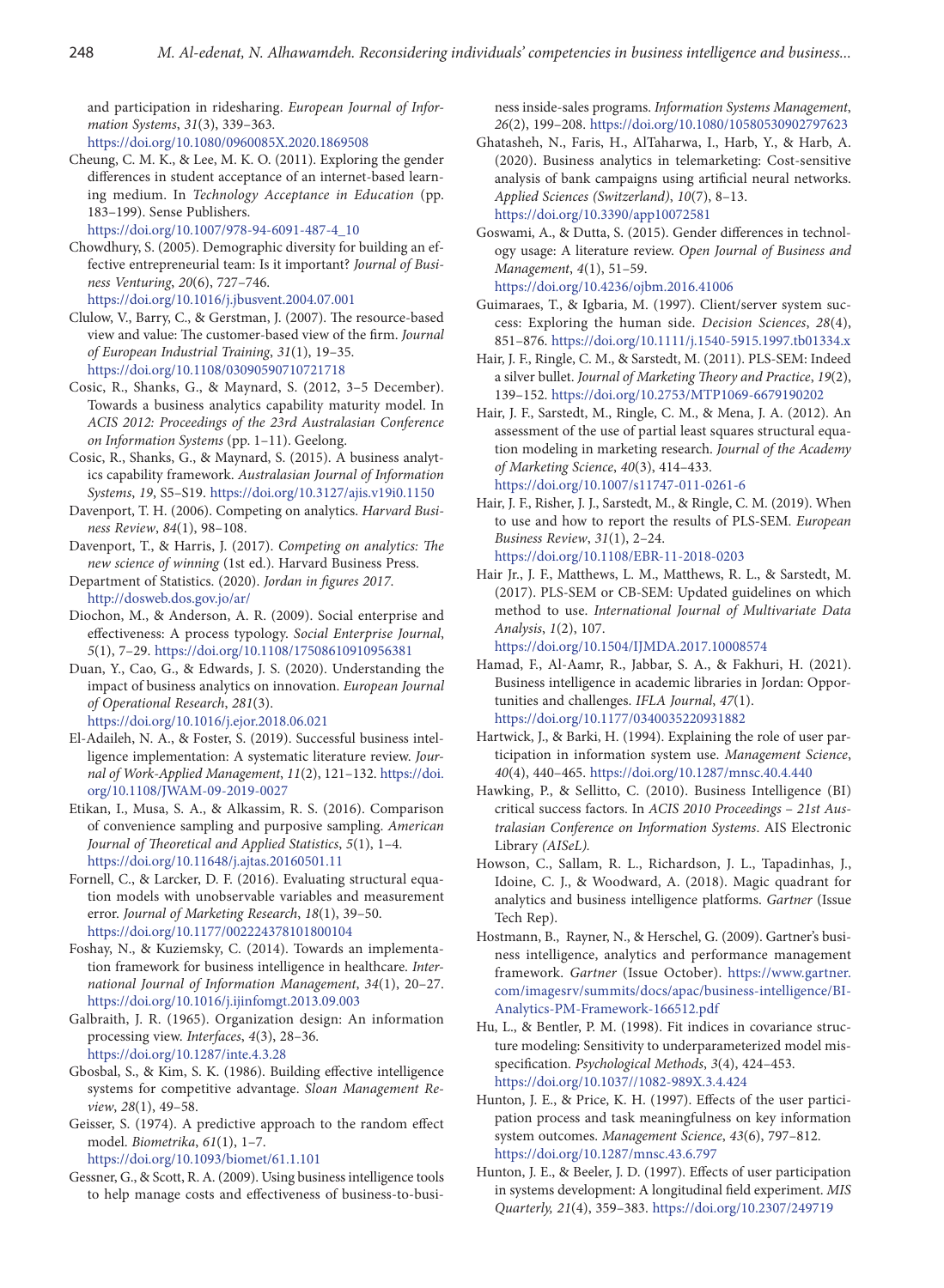and participation in ridesharing. *European Journal of Information Systems*, *31*(3), 339–363*.*  https://doi.org/10.1080/0960085X.2020.1869508

Cheung, C. M. K., & Lee, M. K. O. (2011). Exploring the gender differences in student acceptance of an internet-based learning medium. In *Technology Acceptance in Education* (pp. 183–199). Sense Publishers.

https://doi.org/10.1007/978-94-6091-487-4\_10

- Chowdhury, S. (2005). Demographic diversity for building an effective entrepreneurial team: Is it important? *Journal of Business Venturing*, *20*(6), 727–746. https://doi.org/10.1016/j.jbusvent.2004.07.001
- Clulow, V., Barry, C., & Gerstman, J. (2007). The resource-based view and value: The customer-based view of the firm. *Journal of European Industrial Training*, *31*(1), 19–35. https://doi.org/10.1108/03090590710721718
- Cosic, R., Shanks, G., & Maynard, S. (2012, 3–5 December). Towards a business analytics capability maturity model. In *ACIS 2012: Proceedings of the 23rd Australasian Conference on Information Systems* (pp. 1–11). Geelong.
- Cosic, R., Shanks, G., & Maynard, S. (2015). A business analytics capability framework. *Australasian Journal of Information Systems*, *19*, S5–S19. https://doi.org/10.3127/ajis.v19i0.1150
- Davenport, T. H. (2006). Competing on analytics. *Harvard Business Review*, *84*(1), 98–108.
- Davenport, T., & Harris, J. (2017). *Competing on analytics: The new science of winning* (1st ed.). Harvard Business Press.
- Department of Statistics. (2020). *Jordan in figures 2017*. http://dosweb.dos.gov.jo/ar/
- Diochon, M., & Anderson, A. R. (2009). Social enterprise and effectiveness: A process typology. *Social Enterprise Journal*, *5*(1), 7–29. https://doi.org/10.1108/17508610910956381
- Duan, Y., Cao, G., & Edwards, J. S. (2020). Understanding the impact of business analytics on innovation. *European Journal of Operational Research*, *281*(3). https://doi.org/10.1016/j.ejor.2018.06.021
- El-Adaileh, N. A., & Foster, S. (2019). Successful business intelligence implementation: A systematic literature review. *Journal of Work-Applied Management*, *11*(2), 121–132. https://doi. org/10.1108/JWAM-09-2019-0027
- Etikan, I., Musa, S. A., & Alkassim, R. S. (2016). Comparison of convenience sampling and purposive sampling. *American Journal of Theoretical and Applied Statistics*, *5*(1), 1–4. https://doi.org/10.11648/j.ajtas.20160501.11
- Fornell, C., & Larcker, D. F. (2016). Evaluating structural equation models with unobservable variables and measurement error. *Journal of Marketing Research*, *18*(1), 39–50. https://doi.org/10.1177/002224378101800104
- Foshay, N., & Kuziemsky, C. (2014). Towards an implementation framework for business intelligence in healthcare. *International Journal of Information Management*, *34*(1), 20–27. https://doi.org/10.1016/j.ijinfomgt.2013.09.003
- Galbraith, J. R. (1965). Organization design: An information processing view. *Interfaces*, *4*(3), 28–36. https://doi.org/10.1287/inte.4.3.28
- Gbosbal, S., & Kim, S. K. (1986). Building effective intelligence systems for competitive advantage. *Sloan Management Review*, *28*(1), 49–58.
- Geisser, S. (1974). A predictive approach to the random effect model. *Biometrika*, *61*(1), 1–7.

https://doi.org/10.1093/biomet/61.1.101

Gessner, G., & Scott, R. A. (2009). Using business intelligence tools to help manage costs and effectiveness of business-to-business inside-sales programs. *Information Systems Management*, *26*(2), 199–208. https://doi.org/10.1080/10580530902797623

- Ghatasheh, N., Faris, H., AlTaharwa, I., Harb, Y., & Harb, A. (2020). Business analytics in telemarketing: Cost-sensitive analysis of bank campaigns using artificial neural networks. *Applied Sciences (Switzerland)*, *10*(7), 8–13. https://doi.org/10.3390/app10072581
- Goswami, A., & Dutta, S. (2015). Gender differences in technology usage: A literature review. *Open Journal of Business and Management*, *4*(1), 51–59.

<https://doi.org/10.4236/ojbm.2016.41006> Guimaraes, T., & Igbaria, M. (1997). Client/server system suc-

- cess: Exploring the human side. *Decision Sciences*, *28*(4), 851–876. https://doi.org/10.1111/j.1540-5915.1997.tb01334.x
- Hair, J. F., Ringle, C. M., & Sarstedt, M. (2011). PLS-SEM: Indeed a silver bullet. *Journal of Marketing Theory and Practice*, *19*(2), 139–152. https://doi.org/10.2753/MTP1069-6679190202
- Hair, J. F., Sarstedt, M., Ringle, C. M., & Mena, J. A. (2012). An assessment of the use of partial least squares structural equation modeling in marketing research. *Journal of the Academy of Marketing Science*, *40*(3), 414–433. https://doi.org/10.1007/s11747-011-0261-6
- Hair, J. F., Risher, J. J., Sarstedt, M., & Ringle, C. M. (2019). When to use and how to report the results of PLS-SEM. *European Business Review*, *31*(1), 2–24.

https://doi.org/10.1108/EBR-11-2018-0203

Hair Jr., J. F., Matthews, L. M., Matthews, R. L., & Sarstedt, M. (2017). PLS-SEM or CB-SEM: Updated guidelines on which method to use. *International Journal of Multivariate Data Analysis*, *1*(2), 107.

https://doi.org/10.1504/IJMDA.2017.10008574

- Hamad, F., Al-Aamr, R., Jabbar, S. A., & Fakhuri, H. (2021). Business intelligence in academic libraries in Jordan: Opportunities and challenges. *IFLA Journal*, *47*(1). https://doi.org/10.1177/0340035220931882
- Hartwick, J., & Barki, H. (1994). Explaining the role of user participation in information system use. *Management Science*, *40*(4), 440–465. https://doi.org/10.1287/mnsc.40.4.440
- Hawking, P., & Sellitto, C. (2010). Business Intelligence (BI) critical success factors. In *ACIS 2010 Proceedings* – *21st Australasian Conference on Information Systems*. AIS Electronic Library *(AISeL).*
- Howson, C., Sallam, R. L., Richardson, J. L., Tapadinhas, J., Idoine, C. J., & Woodward, A. (2018). Magic quadrant for analytics and business intelligence platforms. *Gartner* (Issue Tech Rep).
- Hostmann, B., Rayner, N., & Herschel, G. (2009). Gartner's business intelligence, analytics and performance management framework. *Gartner* (Issue October). https://www.gartner. com/imagesrv/summits/docs/apac/business-intelligence/BI-Analytics-PM-Framework-166512.pdf
- Hu, L., & Bentler, P. M. (1998). Fit indices in covariance structure modeling: Sensitivity to underparameterized model misspecification. *Psychological Methods*, *3*(4), 424–453. [https://doi.org/10.1037//1082-989X.3.4.424](https://doi.org/10.1037/1082-989X.3.4.424)
- Hunton, J. E., & Price, K. H. (1997). Effects of the user participation process and task meaningfulness on key information system outcomes. *Management Science*, *43*(6), 797–812. <https://doi.org/10.1287/mnsc.43.6.797>
- Hunton, J. E., & Beeler, J. D. (1997). Effects of user participation in systems development: A longitudinal field experiment. *MIS Quarterly, 21*(4), 359–383. <https://doi.org/10.2307/249719>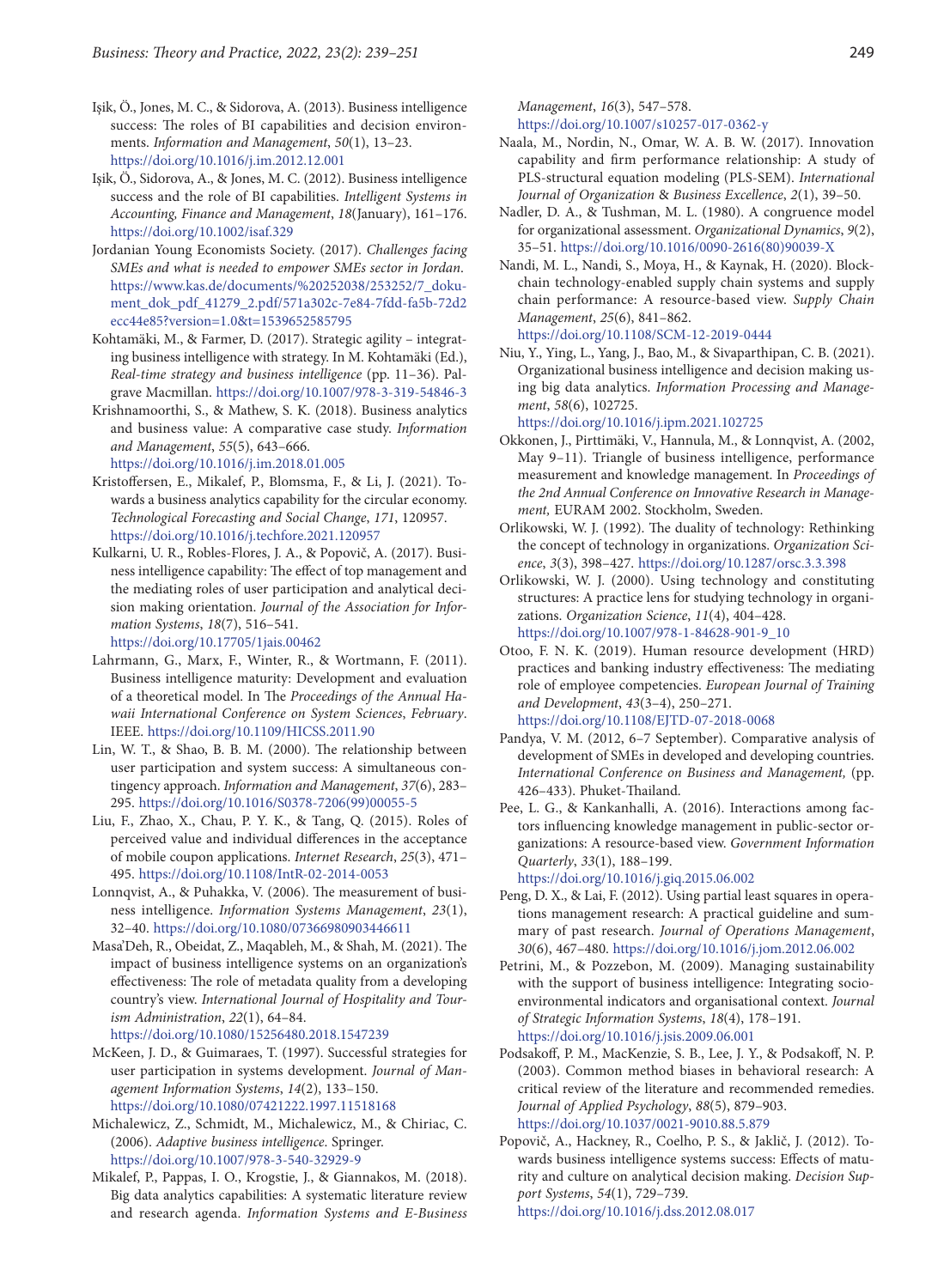- Işik, Ö., Jones, M. C., & Sidorova, A. (2013). Business intelligence success: The roles of BI capabilities and decision environments. *Information and Management*, *50*(1), 13–23. <https://doi.org/10.1016/j.im.2012.12.001>
- Işik, Ö., Sidorova, A., & Jones, M. C. (2012). Business intelligence success and the role of BI capabilities. *Intelligent Systems in Accounting, Finance and Management*, *18*(January), 161–176. <https://doi.org/10.1002/isaf.329>
- Jordanian Young Economists Society. (2017). *Challenges facing SMEs and what is needed to empower SMEs sector in Jordan*. https://www.kas.de/documents/%20252038/253252/7\_dokument\_dok\_pdf\_41279\_2.pdf/571a302c-7e84-7fdd-fa5b-72d2 ecc44e85?version=1.0&t=1539652585795
- Kohtamäki, M., & Farmer, D. (2017). Strategic agility integrating business intelligence with strategy. In M. Kohtamäki (Ed.), *Real-time strategy and business intelligence* (pp. 11–36). Palgrave Macmillan. <https://doi.org/10.1007/978-3-319-54846-3>
- Krishnamoorthi, S., & Mathew, S. K. (2018). Business analytics and business value: A comparative case study. *Information and Management*, *55*(5), 643–666. <https://doi.org/10.1016/j.im.2018.01.005>
- Kristoffersen, E., Mikalef, P., Blomsma, F., & Li, J. (2021). Towards a business analytics capability for the circular economy. *Technological Forecasting and Social Change*, *171*, 120957. <https://doi.org/10.1016/j.techfore.2021.120957>
- Kulkarni, U. R., Robles-Flores, J. A., & Popovič, A. (2017). Business intelligence capability: The effect of top management and the mediating roles of user participation and analytical decision making orientation. *Journal of the Association for Information Systems*, *18*(7), 516–541.

<https://doi.org/10.17705/1jais.00462>

- Lahrmann, G., Marx, F., Winter, R., & Wortmann, F. (2011). Business intelligence maturity: Development and evaluation of a theoretical model. In The *Proceedings of the Annual Hawaii International Conference on System Sciences*, *February*. IEEE. <https://doi.org/10.1109/HICSS.2011.90>
- Lin, W. T., & Shao, B. B. M. (2000). The relationship between user participation and system success: A simultaneous contingency approach. *Information and Management*, *37*(6), 283– 295. [https://doi.org/10.1016/S0378-7206\(99\)00055-5](https://doi.org/10.1016/S0378-7206(99)00055-5)
- Liu, F., Zhao, X., Chau, P. Y. K., & Tang, Q. (2015). Roles of perceived value and individual differences in the acceptance of mobile coupon applications. *Internet Research*, *25*(3), 471– 495.<https://doi.org/10.1108/IntR-02-2014-0053>
- Lonnqvist, A., & Puhakka, V. (2006). The measurement of business intelligence. *Information Systems Management*, *23*(1), 32–40.<https://doi.org/10.1080/07366980903446611>
- Masa'Deh, R., Obeidat, Z., Maqableh, M., & Shah, M. (2021). The impact of business intelligence systems on an organization's effectiveness: The role of metadata quality from a developing country's view. *International Journal of Hospitality and Tourism Administration*, *22*(1), 64–84. https://doi.org/10.1080/15256480.2018.1547239
- McKeen, J. D., & Guimaraes, T. (1997). Successful strategies for user participation in systems development. *Journal of Management Information Systems*, *14*(2), 133–150. <https://doi.org/10.1080/07421222.1997.11518168>
- Michalewicz, Z., Schmidt, M., Michalewicz, M., & Chiriac, C. (2006). *Adaptive business intelligence*. Springer. <https://doi.org/10.1007/978-3-540-32929-9>
- Mikalef, P., Pappas, I. O., Krogstie, J., & Giannakos, M. (2018). Big data analytics capabilities: A systematic literature review and research agenda. *Information Systems and E-Business*

*Management*, *16*(3), 547–578.

<https://doi.org/10.1007/s10257-017-0362-y>

- Naala, M., Nordin, N., Omar, W. A. B. W. (2017). Innovation capability and firm performance relationship: A study of PLS-structural equation modeling (PLS-SEM). *International Journal of Organization* & *Business Excellence*, *2*(1), 39–50.
- Nadler, D. A., & Tushman, M. L. (1980). A congruence model for organizational assessment. *Organizational Dynamics*, *9*(2), 35–51. [https://doi.org/10.1016/0090-2616\(80\)90039-X](https://doi.org/10.1016/0090-2616(80)90039-X)
- Nandi, M. L., Nandi, S., Moya, H., & Kaynak, H. (2020). Blockchain technology-enabled supply chain systems and supply chain performance: A resource-based view. *Supply Chain Management*, *25*(6), 841–862. <https://doi.org/10.1108/SCM-12-2019-0444>
- Niu, Y., Ying, L., Yang, J., Bao, M., & Sivaparthipan, C. B. (2021). Organizational business intelligence and decision making using big data analytics. *Information Processing and Management*, *58*(6), 102725.

<https://doi.org/10.1016/j.ipm.2021.102725>

- Okkonen, J., Pirttimäki, V., Hannula, M., & Lonnqvist, A. (2002, May 9–11). Triangle of business intelligence, performance measurement and knowledge management. In *Proceedings of the 2nd Annual Conference on Innovative Research in Management,* EURAM 2002. Stockholm, Sweden.
- Orlikowski, W. J. (1992). The duality of technology: Rethinking the concept of technology in organizations. *Organization Science*, *3*(3), 398–427. <https://doi.org/10.1287/orsc.3.3.398>
- Orlikowski, W. J. (2000). Using technology and constituting structures: A practice lens for studying technology in organizations. *Organization Science*, *11*(4), 404–428. [https://doi.org/10.1007/978-1-84628-901-9\\_10](https://doi.org/10.1007/978-1-84628-901-9_10)
- Otoo, F. N. K. (2019). Human resource development (HRD) practices and banking industry effectiveness: The mediating role of employee competencies. *European Journal of Training and Development*, *43*(3–4), 250–271. <https://doi.org/10.1108/EJTD-07-2018-0068>
- Pandya, V. M. (2012, 6–7 September). Comparative analysis of development of SMEs in developed and developing countries. *International Conference on Business and Management,* (pp. 426–433). Phuket-Thailand.
- Pee, L. G., & Kankanhalli, A. (2016). Interactions among factors influencing knowledge management in public-sector organizations: A resource-based view. *Government Information Quarterly*, *33*(1), 188–199.

<https://doi.org/10.1016/j.giq.2015.06.002>

- Peng, D. X., & Lai, F. (2012). Using partial least squares in operations management research: A practical guideline and summary of past research. *Journal of Operations Management*, *30*(6), 467–480. <https://doi.org/10.1016/j.jom.2012.06.002>
- Petrini, M., & Pozzebon, M. (2009). Managing sustainability with the support of business intelligence: Integrating socioenvironmental indicators and organisational context. *Journal of Strategic Information Systems*, *18*(4), 178–191. <https://doi.org/10.1016/j.jsis.2009.06.001>
- Podsakoff, P. M., MacKenzie, S. B., Lee, J. Y., & Podsakoff, N. P. (2003). Common method biases in behavioral research: A critical review of the literature and recommended remedies. *Journal of Applied Psychology*, *88*(5), 879–903. https://doi.org/10.1037/0021-9010.88.5.879
- Popovič, A., Hackney, R., Coelho, P. S., & Jaklič, J. (2012). Towards business intelligence systems success: Effects of maturity and culture on analytical decision making. *Decision Support Systems*, *54*(1), 729–739. <https://doi.org/10.1016/j.dss.2012.08.017>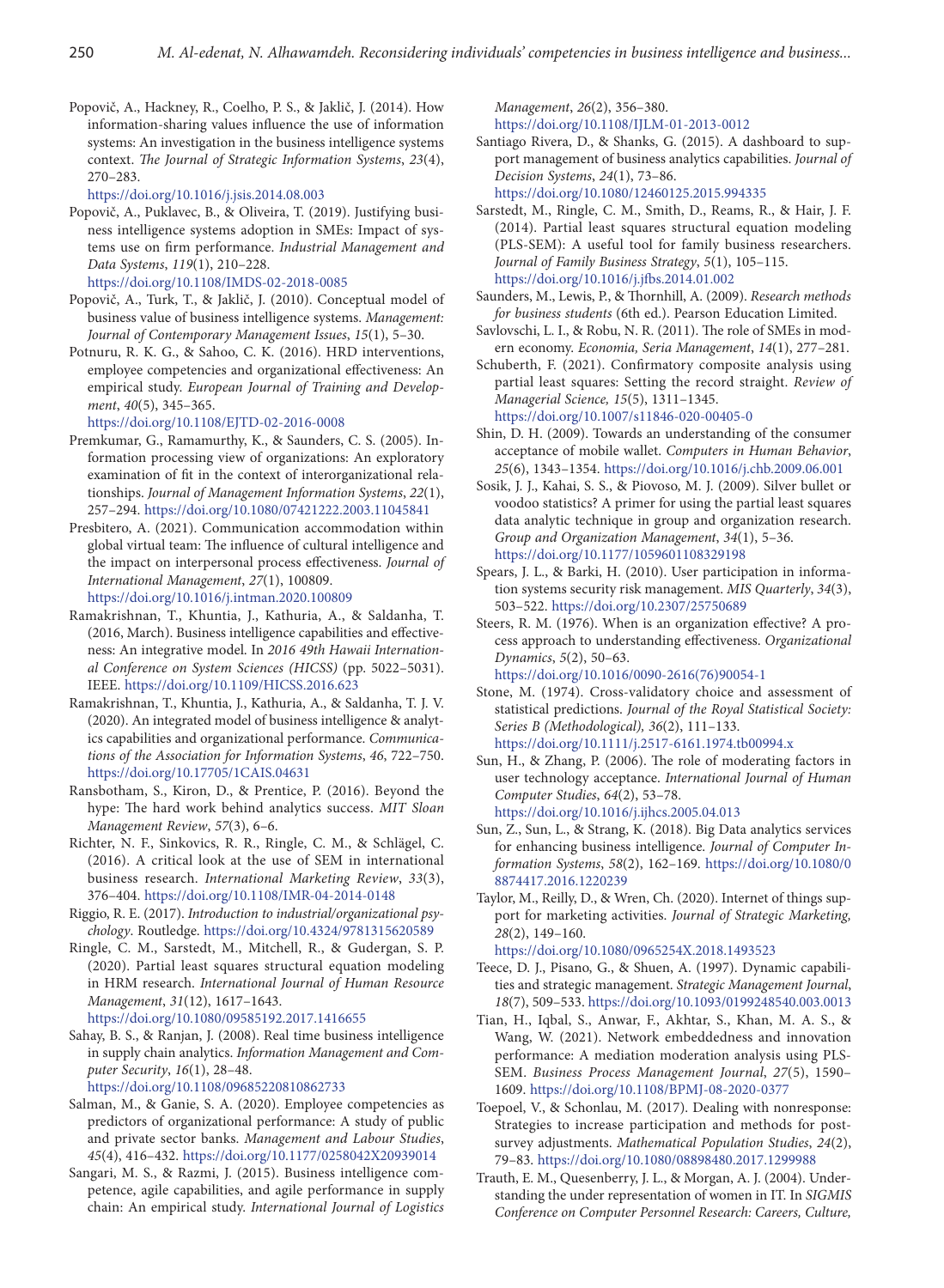Popovič, A., Hackney, R., Coelho, P. S., & Jaklič, J. (2014). How information-sharing values influence the use of information systems: An investigation in the business intelligence systems context. *The Journal of Strategic Information Systems*, *23*(4), 270–283.

<https://doi.org/10.1016/j.jsis.2014.08.003>

- Popovič, A., Puklavec, B., & Oliveira, T. (2019). Justifying business intelligence systems adoption in SMEs: Impact of systems use on firm performance. *Industrial Management and Data Systems*, *119*(1), 210–228. <https://doi.org/10.1108/IMDS-02-2018-0085>
- Popovič, A., Turk, T., & Jaklič, J. (2010). Conceptual model of business value of business intelligence systems. *Management: Journal of Contemporary Management Issues*, *15*(1), 5–30.
- Potnuru, R. K. G., & Sahoo, C. K. (2016). HRD interventions, employee competencies and organizational effectiveness: An empirical study. *European Journal of Training and Development*, *40*(5), 345–365.

<https://doi.org/10.1108/EJTD-02-2016-0008>

- Premkumar, G., Ramamurthy, K., & Saunders, C. S. (2005). Information processing view of organizations: An exploratory examination of fit in the context of interorganizational relationships. *Journal of Management Information Systems*, *22*(1), 257–294. <https://doi.org/10.1080/07421222.2003.11045841>
- Presbitero, A. (2021). Communication accommodation within global virtual team: The influence of cultural intelligence and the impact on interpersonal process effectiveness. *Journal of International Management*, *27*(1), 100809. https://doi.org/10.1016/j.intman.2020.100809
- Ramakrishnan, T., Khuntia, J., Kathuria, A., & Saldanha, T. (2016, March). Business intelligence capabilities and effectiveness: An integrative model. In *2016 49th Hawaii International Conference on System Sciences (HICSS)* (pp. 5022–5031). IEEE. <https://doi.org/10.1109/HICSS.2016.623>
- Ramakrishnan, T., Khuntia, J., Kathuria, A., & Saldanha, T. J. V. (2020). An integrated model of business intelligence & analytics capabilities and organizational performance. *Communications of the Association for Information Systems*, *46*, 722–750. <https://doi.org/10.17705/1CAIS.04631>
- Ransbotham, S., Kiron, D., & Prentice, P. (2016). Beyond the hype: The hard work behind analytics success. *MIT Sloan Management Review*, *57*(3), 6–6.
- Richter, N. F., Sinkovics, R. R., Ringle, C. M., & Schlägel, C. (2016). A critical look at the use of SEM in international business research. *International Marketing Review*, *33*(3), 376–404. <https://doi.org/10.1108/IMR-04-2014-0148>
- Riggio, R. E. (2017). *Introduction to industrial/organizational psychology*. Routledge. <https://doi.org/10.4324/9781315620589>
- Ringle, C. M., Sarstedt, M., Mitchell, R., & Gudergan, S. P. (2020). Partial least squares structural equation modeling in HRM research. *International Journal of Human Resource Management*, *31*(12), 1617–1643.

<https://doi.org/10.1080/09585192.2017.1416655>

Sahay, B. S., & Ranjan, J. (2008). Real time business intelligence in supply chain analytics. *Information Management and Computer Security*, *16*(1), 28–48.

<https://doi.org/10.1108/09685220810862733>

- Salman, M., & Ganie, S. A. (2020). Employee competencies as predictors of organizational performance: A study of public and private sector banks. *Management and Labour Studies*, *45*(4), 416–432. <https://doi.org/10.1177/0258042X20939014>
- Sangari, M. S., & Razmi, J. (2015). Business intelligence competence, agile capabilities, and agile performance in supply chain: An empirical study. *International Journal of Logistics*

*Management*, *26*(2), 356–380. <https://doi.org/10.1108/IJLM-01-2013-0012>

Santiago Rivera, D., & Shanks, G. (2015). A dashboard to support management of business analytics capabilities. *Journal of Decision Systems*, *24*(1), 73–86.

<https://doi.org/10.1080/12460125.2015.994335>

- Sarstedt, M., Ringle, C. M., Smith, D., Reams, R., & Hair, J. F. (2014). Partial least squares structural equation modeling (PLS-SEM): A useful tool for family business researchers. *Journal of Family Business Strategy*, *5*(1), 105–115. <https://doi.org/10.1016/j.jfbs.2014.01.002>
- Saunders, M., Lewis, P., & Thornhill, A. (2009). *Research methods for business students* (6th ed.). Pearson Education Limited.
- Savlovschi, L. I., & Robu, N. R. (2011). The role of SMEs in modern economy. *Economia, Seria Management*, *14*(1), 277–281.
- Schuberth, F. (2021). Confirmatory composite analysis using partial least squares: Setting the record straight. *Review of Managerial Science, 15*(5), 1311–1345. <https://doi.org/10.1007/s11846-020-00405-0>
- Shin, D. H. (2009). Towards an understanding of the consumer acceptance of mobile wallet. *Computers in Human Behavior*, *25*(6), 1343–1354. <https://doi.org/10.1016/j.chb.2009.06.001>
- Sosik, J. J., Kahai, S. S., & Piovoso, M. J. (2009). Silver bullet or voodoo statistics? A primer for using the partial least squares data analytic technique in group and organization research. *Group and Organization Management*, *34*(1), 5–36. <https://doi.org/10.1177/1059601108329198>
- Spears, J. L., & Barki, H. (2010). User participation in information systems security risk management. *MIS Quarterly*, *34*(3), 503–522. <https://doi.org/10.2307/25750689>
- Steers, R. M. (1976). When is an organization effective? A process approach to understanding effectiveness. *Organizational Dynamics*, *5*(2), 50–63.

[https://doi.org/10.1016/0090-2616\(76\)90054-1](https://doi.org/10.1016/0090-2616(76)90054-1)

- Stone, M. (1974). Cross-validatory choice and assessment of statistical predictions. *Journal of the Royal Statistical Society: Series B (Methodological), 36*(2), 111–133. <https://doi.org/10.1111/j.2517-6161.1974.tb00994.x>
- Sun, H., & Zhang, P. (2006). The role of moderating factors in user technology acceptance. *International Journal of Human Computer Studies*, *64*(2), 53–78. <https://doi.org/10.1016/j.ijhcs.2005.04.013>
- Sun, Z., Sun, L., & Strang, K. (2018). Big Data analytics services for enhancing business intelligence. *Journal of Computer Information Systems*, *58*(2), 162–169. [https://doi.org/10.1080/0](https://doi.org/10.1080/08874417.2016.1220239) [8874417.2016.1220239](https://doi.org/10.1080/08874417.2016.1220239)
- Taylor, M., Reilly, D., & Wren, Ch. (2020). Internet of things support for marketing activities. *Journal of Strategic Marketing, 28*(2), 149–160.

https://doi.org/10.1080/0965254X.2018.1493523

- Teece, D. J., Pisano, G., & Shuen, A. (1997). Dynamic capabilities and strategic management. *Strategic Management Journal*, *18*(7), 509–533.<https://doi.org/10.1093/0199248540.003.0013>
- Tian, H., Iqbal, S., Anwar, F., Akhtar, S., Khan, M. A. S., & Wang, W. (2021). Network embeddedness and innovation performance: A mediation moderation analysis using PLS-SEM. *Business Process Management Journal*, *27*(5), 1590– 1609. <https://doi.org/10.1108/BPMJ-08-2020-0377>
- Toepoel, V., & Schonlau, M. (2017). Dealing with nonresponse: Strategies to increase participation and methods for postsurvey adjustments. *Mathematical Population Studies*, *24*(2), 79–83. <https://doi.org/10.1080/08898480.2017.1299988>
- Trauth, E. M., Quesenberry, J. L., & Morgan, A. J. (2004). Understanding the under representation of women in IT. In *SIGMIS Conference on Computer Personnel Research: Careers, Culture,*